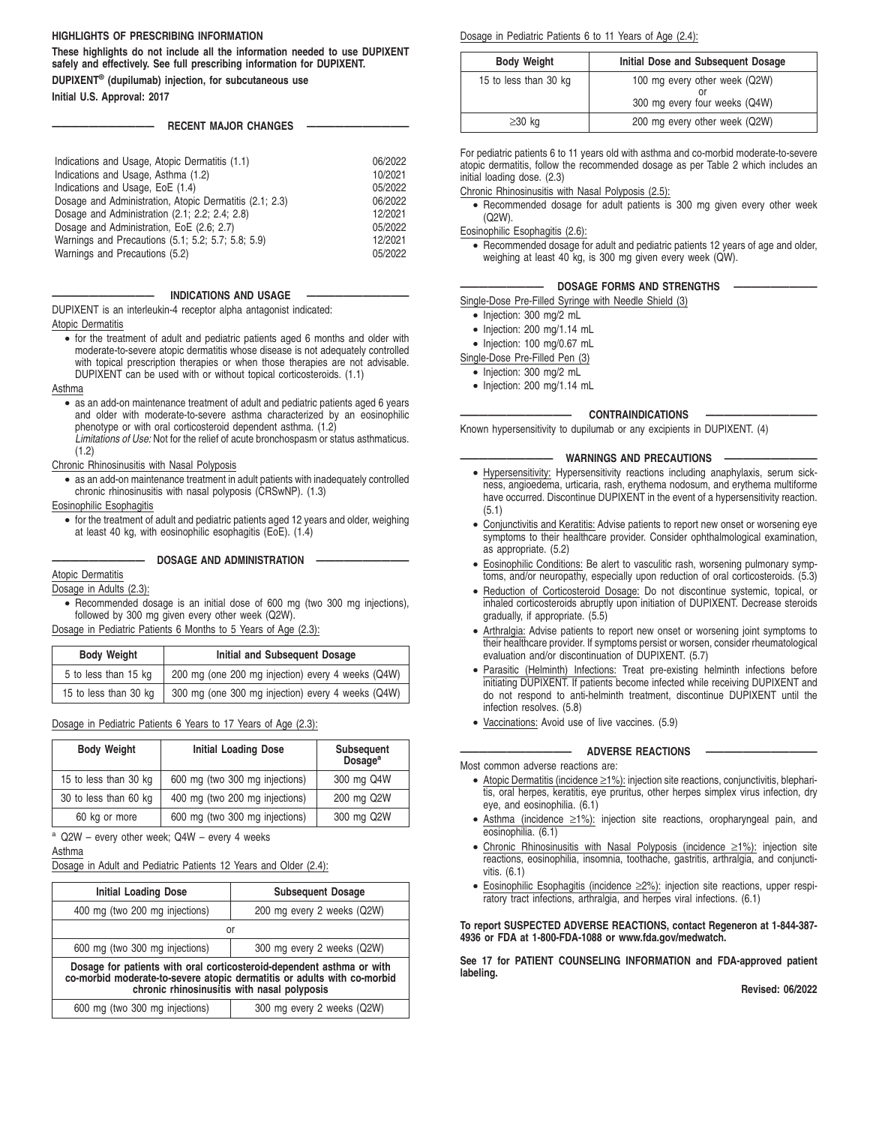#### **HIGHLIGHTS OF PRESCRIBING INFORMATION**

**These highlights do not include all the information needed to use DUPIXENT safely and effectively. See full prescribing information for DUPIXENT. DUPIXENT® (dupilumab) injection, for subcutaneous use**

**Initial U.S. Approval: 2017**

## **RECENT MAJOR CHANGES**

#### **INDICATIONS AND USAGE**

DUPIXENT is an interleukin-4 receptor alpha antagonist indicated: Atopic Dermatitis

• for the treatment of adult and pediatric patients aged 6 months and older with moderate-to-severe atopic dermatitis whose disease is not adequately controlled with topical prescription therapies or when those therapies are not advisable. DUPIXENT can be used with or without topical corticosteroids. (1.1)

#### Asthma

• as an add-on maintenance treatment of adult and pediatric patients aged 6 years and older with moderate-to-severe asthma characterized by an eosinophilic phenotype or with oral corticosteroid dependent asthma. (1.2) Limitations of Use: Not for the relief of acute bronchospasm or status asthmaticus.

#### (1.2)

Chronic Rhinosinusitis with Nasal Polyposis

• as an add-on maintenance treatment in adult patients with inadequately controlled chronic rhinosinusitis with nasal polyposis (CRSwNP). (1.3)

## Eosinophilic Esophagitis

• for the treatment of adult and pediatric patients aged 12 years and older, weighing at least 40 kg, with eosinophilic esophagitis (EoE). (1.4)

**—————————— DOSAGE AND ADMINISTRATION ——————————**

## Atopic Dermatitis

Dosage in Adults (2.3):

• Recommended dosage is an initial dose of 600 mg (two 300 mg injections), followed by 300 mg given every other week (Q2W).

Dosage in Pediatric Patients 6 Months to 5 Years of Age (2.3):

| <b>Body Weight</b>    | Initial and Subsequent Dosage                     |
|-----------------------|---------------------------------------------------|
| 5 to less than 15 kg  | 200 mg (one 200 mg injection) every 4 weeks (Q4W) |
| 15 to less than 30 kg | 300 mg (one 300 mg injection) every 4 weeks (Q4W) |

#### Dosage in Pediatric Patients 6 Years to 17 Years of Age (2.3):

| <b>Body Weight</b>    | <b>Initial Loading Dose</b>    | Subsequent<br>Dosage <sup>a</sup> |
|-----------------------|--------------------------------|-----------------------------------|
| 15 to less than 30 kg | 600 mg (two 300 mg injections) | 300 mg Q4W                        |
| 30 to less than 60 kg | 400 mg (two 200 mg injections) | 200 mg Q2W                        |
| 60 kg or more         | 600 mg (two 300 mg injections) | 300 mg Q2W                        |

 $a$  Q2W – every other week; Q4W – every 4 weeks

Asthma

Dosage in Adult and Pediatric Patients 12 Years and Older (2.4):

| <b>Initial Loading Dose</b>                                                                                                                                                                     | <b>Subsequent Dosage</b>   |  |
|-------------------------------------------------------------------------------------------------------------------------------------------------------------------------------------------------|----------------------------|--|
| 400 mg (two 200 mg injections)                                                                                                                                                                  | 200 mg every 2 weeks (Q2W) |  |
| or                                                                                                                                                                                              |                            |  |
| 600 mg (two 300 mg injections)                                                                                                                                                                  | 300 mg every 2 weeks (Q2W) |  |
| Dosage for patients with oral corticosteroid-dependent asthma or with<br>co-morbid moderate-to-severe atopic dermatitis or adults with co-morbid<br>chronic rhinosinusitis with nasal polyposis |                            |  |
| 600 mg (two 300 mg injections)<br>300 mg every 2 weeks (Q2W)                                                                                                                                    |                            |  |

Dosage in Pediatric Patients 6 to 11 Years of Age (2.4):

| <b>Body Weight</b>    | Initial Dose and Subsequent Dosage                             |
|-----------------------|----------------------------------------------------------------|
| 15 to less than 30 kg | 100 mg every other week (Q2W)<br>300 mg every four weeks (Q4W) |
| $\geq$ 30 kg          | 200 mg every other week (Q2W)                                  |

For pediatric patients 6 to 11 years old with asthma and co-morbid moderate-to-severe atopic dermatitis, follow the recommended dosage as per Table 2 which includes an initial loading dose. (2.3)

Chronic Rhinosinusitis with Nasal Polyposis (2.5):

• Recommended dosage for adult patients is 300 mg given every other week (Q2W).

Eosinophilic Esophagitis (2.6):

• Recommended dosage for adult and pediatric patients 12 years of age and older, weighing at least 40 kg, is 300 mg given every week (QW).

**MOSAGE FORMS AND STRENGTHS** 

Single-Dose Pre-Filled Syringe with Needle Shield (3)

- Injection: 300 mg/2 mL
- Injection: 200 mg/1.14 mL
- Injection: 100 mg/0.67 mL

Single-Dose Pre-Filled Pen (3)

- Injection: 300 mg/2 mL
- Injection: 200 mg/1.14 mL

#### **———————————— CONTRAINDICATIONS ————————————**

Known hypersensitivity to dupilumab or any excipients in DUPIXENT. (4)

## **WARNINGS AND PRECAUTIONS**

- Hypersensitivity: Hypersensitivity reactions including anaphylaxis, serum sickness, angioedema, urticaria, rash, erythema nodosum, and erythema multiforme have occurred. Discontinue DUPIXENT in the event of a hypersensitivity reaction. (5.1)
- Conjunctivitis and Keratitis: Advise patients to report new onset or worsening eye symptoms to their healthcare provider. Consider ophthalmological examination, as appropriate. (5.2)
- Eosinophilic Conditions: Be alert to vasculitic rash, worsening pulmonary symptoms, and/or neuropathy, especially upon reduction of oral corticosteroids. (5.3)
- Reduction of Corticosteroid Dosage: Do not discontinue systemic, topical, or inhaled corticosteroids abruptly upon initiation of DUPIXENT. Decrease steroids gradually, if appropriate. (5.5)
- Arthralgia: Advise patients to report new onset or worsening joint symptoms to their healthcare provider. If symptoms persist or worsen, consider rheumatological evaluation and/or discontinuation of DUPIXENT. (5.7)
- Parasitic (Helminth) Infections: Treat pre-existing helminth infections before initiating DUPIXENT. If patients become infected while receiving DUPIXENT and do not respond to anti-helminth treatment, discontinue DUPIXENT until the infection resolves. (5.8)
- Vaccinations: Avoid use of live vaccines. (5.9)

**ADVERSE REACTIONS** 

Most common adverse reactions are:

- Atopic Dermatitis (incidence ≥1%): injection site reactions, conjunctivitis, blepharitis, oral herpes, keratitis, eye pruritus, other herpes simplex virus infection, dry eye, and eosinophilia. (6.1)
- Asthma (incidence ≥1%): injection site reactions, oropharyngeal pain, and eosinophilia. (6.1)
- Chronic Rhinosinusitis with Nasal Polyposis (incidence ≥1%): injection site reactions, eosinophilia, insomnia, toothache, gastritis, arthralgia, and conjunctivitis. (6.1)
- Eosinophilic Esophagitis (incidence ≥2%): injection site reactions, upper respiratory tract infections, arthralgia, and herpes viral infections. (6.1)

**To report SUSPECTED ADVERSE REACTIONS, contact Regeneron at 1-844-387- 4936 or FDA at 1-800-FDA-1088 or www.fda.gov/medwatch.**

**See 17 for PATIENT COUNSELING INFORMATION and FDA-approved patient labeling.**

**Revised: 06/2022**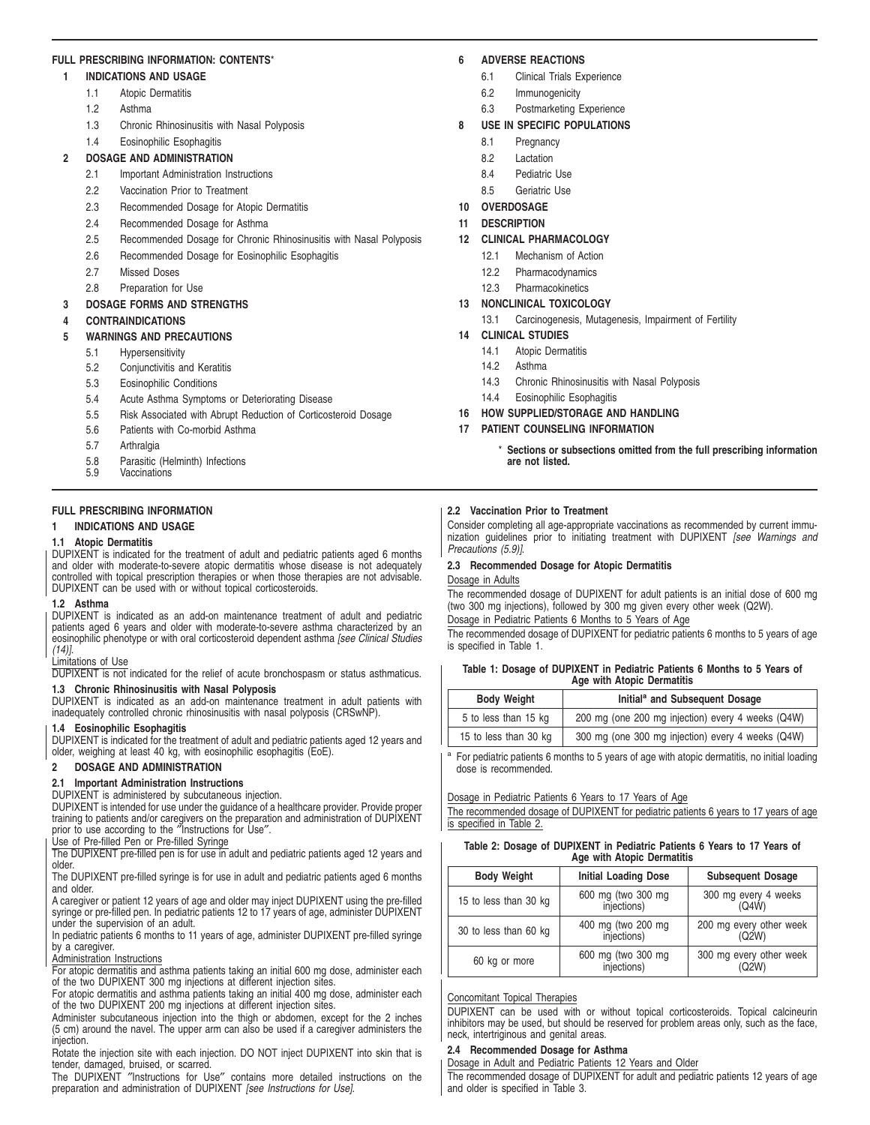## **FULL PRESCRIBING INFORMATION: CONTENTS**\*

## **1 INDICATIONS AND USAGE**

- 1.1 Atopic Dermatitis
- 1.2 Asthma
- 1.3 Chronic Rhinosinusitis with Nasal Polyposis
- 1.4 Eosinophilic Esophagitis

## **2 DOSAGE AND ADMINISTRATION**

- 2.1 Important Administration Instructions
- 2.2 Vaccination Prior to Treatment
- 2.3 Recommended Dosage for Atopic Dermatitis
- 2.4 Recommended Dosage for Asthma
- 2.5 Recommended Dosage for Chronic Rhinosinusitis with Nasal Polyposis
- 2.6 Recommended Dosage for Eosinophilic Esophagitis
- 2.7 Missed Doses
- 2.8 Preparation for Use

## **3 DOSAGE FORMS AND STRENGTHS**

**4 CONTRAINDICATIONS**

## **5 WARNINGS AND PRECAUTIONS**

- 5.1 Hypersensitivity
- 5.2 Conjunctivitis and Keratitis
- 5.3 Eosinophilic Conditions
- 5.4 Acute Asthma Symptoms or Deteriorating Disease
- 5.5 Risk Associated with Abrupt Reduction of Corticosteroid Dosage
- 5.6 Patients with Co-morbid Asthma
- 5.7 Arthralgia
- 5.8 Parasitic (Helminth) Infections<br>5.9 Vaccinations
- **Vaccinations**

# **FULL PRESCRIBING INFORMATION**

## **1 INDICATIONS AND USAGE**

## **1.1 Atopic Dermatitis**

DUPIXENT is indicated for the treatment of adult and pediatric patients aged 6 months and older with moderate-to-severe atopic dermatitis whose disease is not adequately controlled with topical prescription therapies or when those therapies are not advisable. DUPIXENT can be used with or without topical corticosteroids.

#### **1.2 Asthma**

DUPIXENT is indicated as an add-on maintenance treatment of adult and pediatric patients aged 6 years and older with moderate-to-severe asthma characterized by an eosinophilic phenotype or with oral corticosteroid dependent asthma [see Clinical Studies] (14)].

## Limitations of Use

DUPIXENT is not indicated for the relief of acute bronchospasm or status asthmaticus.

# **1.3 Chronic Rhinosinusitis with Nasal Polyposis**

DUPIXENT is indicated as an add-on maintenance treatment in adult patients with inadequately controlled chronic rhinosinusitis with nasal polyposis (CRSwNP).

## **1.4 Eosinophilic Esophagitis**

DUPIXENT is indicated for the treatment of adult and pediatric patients aged 12 years and older, weighing at least 40 kg, with eosinophilic esophagitis (EoE).

## **2 DOSAGE AND ADMINISTRATION**

**2.1 Important Administration Instructions**

DUPIXENT is administered by subcutaneous injection.

DUPIXENT is intended for use under the guidance of a healthcare provider. Provide proper training to patients and/or caregivers on the preparation and administration of DUPIXENT prior to use according to the ″Instructions for Use″.

Use of Pre-filled Pen or Pre-filled Syringe

The DUPIXENT pre-filled pen is for use in adult and pediatric patients aged 12 years and older.

The DUPIXENT pre-filled syringe is for use in adult and pediatric patients aged 6 months and older.

A caregiver or patient 12 years of age and older may inject DUPIXENT using the pre-filled syringe or pre-filled pen. In pediatric patients 12 to 17 years of age, administer DUPIXENT under the supervision of an adult.

In pediatric patients 6 months to 11 years of age, administer DUPIXENT pre-filled syringe by a caregiver.

## Administration Instructions

For atopic dermatitis and asthma patients taking an initial 600 mg dose, administer each of the two DUPIXENT 300 mg injections at different injection sites.

For atopic dermatitis and asthma patients taking an initial 400 mg dose, administer each of the two DUPIXENT 200 mg injections at different injection sites.

Administer subcutaneous injection into the thigh or abdomen, except for the 2 inches (5 cm) around the navel. The upper arm can also be used if a caregiver administers the injection.

Rotate the injection site with each injection. DO NOT inject DUPIXENT into skin that is tender, damaged, bruised, or scarred.

The DUPIXENT ″Instructions for Use″ contains more detailed instructions on the preparation and administration of DUPIXENT [see Instructions for Use].

## **6 ADVERSE REACTIONS**

- 6.1 Clinical Trials Experience
- 6.2 Immunogenicity
- 6.3 Postmarketing Experience

## **8 USE IN SPECIFIC POPULATIONS**

- 8.1 Pregnancy
- 8.2 Lactation
- 8.4 Pediatric Use
- 8.5 Geriatric Use
- **10 OVERDOSAGE**
- **11 DESCRIPTION**

## **12 CLINICAL PHARMACOLOGY**

- 12.1 Mechanism of Action
- 12.2 Pharmacodynamics
- 12.3 Pharmacokinetics

## **13 NONCLINICAL TOXICOLOGY**

- 13.1 Carcinogenesis, Mutagenesis, Impairment of Fertility
- **14 CLINICAL STUDIES**
	- 14.1 Atopic Dermatitis
	- 14.2 Asthma
	- 14.3 Chronic Rhinosinusitis with Nasal Polyposis
	- 14.4 Eosinophilic Esophagitis

## **16 HOW SUPPLIED/STORAGE AND HANDLING**

## **17 PATIENT COUNSELING INFORMATION**

Sections or subsections omitted from the full prescribing information **are not listed.**

## **2.2 Vaccination Prior to Treatment**

Consider completing all age-appropriate vaccinations as recommended by current immunization guidelines prior to initiating treatment with DUPIXENT [see Warnings and Precautions (5.9)].

## **2.3 Recommended Dosage for Atopic Dermatitis**

Dosage in Adults

The recommended dosage of DUPIXENT for adult patients is an initial dose of 600 mg (two 300 mg injections), followed by 300 mg given every other week (Q2W).

Dosage in Pediatric Patients 6 Months to 5 Years of Age

The recommended dosage of DUPIXENT for pediatric patients 6 months to 5 years of age is specified in Table 1.

| Table 1: Dosage of DUPIXENT in Pediatric Patients 6 Months to 5 Years of |  |  |
|--------------------------------------------------------------------------|--|--|
| Age with Atopic Dermatitis                                               |  |  |

| <b>Body Weight</b>    | Initial <sup>a</sup> and Subsequent Dosage        |
|-----------------------|---------------------------------------------------|
| 5 to less than 15 kg  | 200 mg (one 200 mg injection) every 4 weeks (Q4W) |
| 15 to less than 30 kg | 300 mg (one 300 mg injection) every 4 weeks (Q4W) |

<sup>a</sup> For pediatric patients 6 months to 5 years of age with atopic dermatitis, no initial loading dose is recommended.

#### Dosage in Pediatric Patients 6 Years to 17 Years of Age

The recommended dosage of DUPIXENT for pediatric patients 6 years to 17 years of age is specified in Table 2.

#### **Table 2: Dosage of DUPIXENT in Pediatric Patients 6 Years to 17 Years of** Age with Atopic Der

| Age with Alopic Demination |                                   |                                  |  |
|----------------------------|-----------------------------------|----------------------------------|--|
| <b>Body Weight</b>         | <b>Initial Loading Dose</b>       | <b>Subsequent Dosage</b>         |  |
| 15 to less than 30 kg      | 600 mg (two 300 mg<br>injections) | 300 mg every 4 weeks<br>(Q4W)    |  |
| 30 to less than 60 kg      | 400 mg (two 200 mg<br>injections) | 200 mg every other week<br>(Q2W) |  |
| 60 kg or more              | 600 mg (two 300 mg<br>injections) | 300 mg every other week<br>(Q2W) |  |

# Concomitant Topical Therapies

DUPIXENT can be used with or without topical corticosteroids. Topical calcineurin inhibitors may be used, but should be reserved for problem areas only, such as the face, neck, intertriginous and genital areas.

## **2.4 Recommended Dosage for Asthma**

Dosage in Adult and Pediatric Patients 12 Years and Older

The recommended dosage of DUPIXENT for adult and pediatric patients 12 years of age and older is specified in Table 3.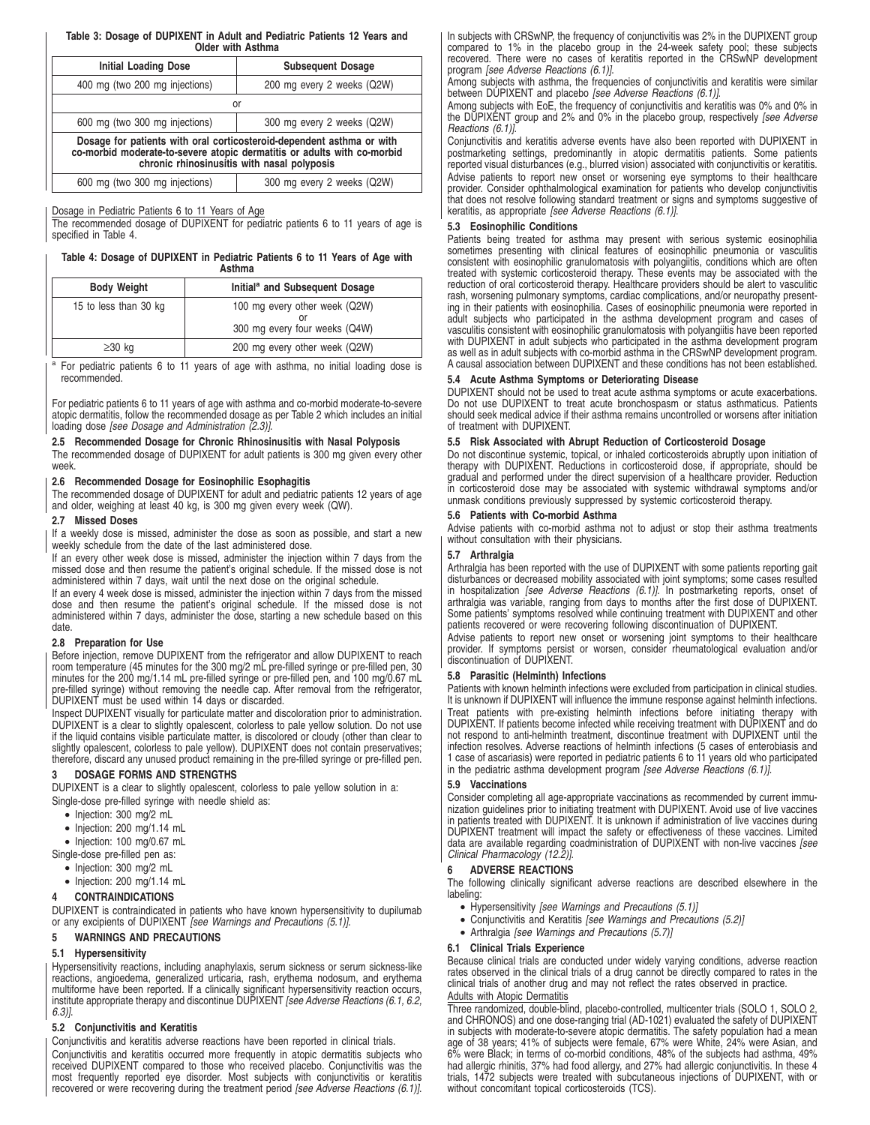#### **Table 3: Dosage of DUPIXENT in Adult and Pediatric Patients 12 Years and Older with Asthma**

| <b>Initial Loading Dose</b>                                                                                                                                                                     | <b>Subsequent Dosage</b>   |  |
|-------------------------------------------------------------------------------------------------------------------------------------------------------------------------------------------------|----------------------------|--|
| 400 mg (two 200 mg injections)                                                                                                                                                                  | 200 mg every 2 weeks (Q2W) |  |
| or                                                                                                                                                                                              |                            |  |
| 600 mg (two 300 mg injections)                                                                                                                                                                  | 300 mg every 2 weeks (Q2W) |  |
| Dosage for patients with oral corticosteroid-dependent asthma or with<br>co-morbid moderate-to-severe atopic dermatitis or adults with co-morbid<br>chronic rhinosinusitis with nasal polyposis |                            |  |
| 600 mg (two 300 mg injections)                                                                                                                                                                  | 300 mg every 2 weeks (Q2W) |  |

#### Dosage in Pediatric Patients 6 to 11 Years of Age

The recommended dosage of DUPIXENT for pediatric patients 6 to 11 years of age is specified in Table 4.

#### **Table 4: Dosage of DUPIXENT in Pediatric Patients 6 to 11 Years of Age with Asthma**

| <b>Body Weight</b>    | Initial <sup>a</sup> and Subsequent Dosage                     |
|-----------------------|----------------------------------------------------------------|
| 15 to less than 30 kg | 100 mg every other week (Q2W)<br>300 mg every four weeks (Q4W) |
| $\geq$ 30 kg          | 200 mg every other week (Q2W)                                  |

<sup>a</sup> For pediatric patients 6 to 11 years of age with asthma, no initial loading dose is recommended.

For pediatric patients 6 to 11 years of age with asthma and co-morbid moderate-to-severe atopic dermatitis, follow the recommended dosage as per Table 2 which includes an initial loading dose [see Dosage and Administration (2.3)].

#### **2.5 Recommended Dosage for Chronic Rhinosinusitis with Nasal Polyposis**

The recommended dosage of DUPIXENT for adult patients is 300 mg given every other week.

#### **2.6 Recommended Dosage for Eosinophilic Esophagitis**

The recommended dosage of DUPIXENT for adult and pediatric patients 12 years of age and older, weighing at least 40 kg, is 300 mg given every week (QW).

## **2.7 Missed Doses**

If a weekly dose is missed, administer the dose as soon as possible, and start a new weekly schedule from the date of the last administered dose.

If an every other week dose is missed, administer the injection within 7 days from the missed dose and then resume the patient's original schedule. If the missed dose is not administered within 7 days, wait until the next dose on the original schedule.

If an every 4 week dose is missed, administer the injection within 7 days from the missed dose and then resume the patient's original schedule. If the missed dose is not administered within 7 days, administer the dose, starting a new schedule based on this date.

#### **2.8 Preparation for Use**

Before injection, remove DUPIXENT from the refrigerator and allow DUPIXENT to reach room temperature (45 minutes for the 300 mg/2 mL pre-filled syringe or pre-filled pen, 30 minutes for the 200 mg/1.14 mL pre-filled syringe or pre-filled pen, and 100 mg/0.67 mL pre-filled syringe) without removing the needle cap. After removal from the refrigerator, DUPIXENT must be used within 14 days or discarded.

Inspect DUPIXENT visually for particulate matter and discoloration prior to administration. DUPIXENT is a clear to slightly opalescent, colorless to pale yellow solution. Do not use if the liquid contains visible particulate matter, is discolored or cloudy (other than clear to slightly opalescent, colorless to pale yellow). DUPIXENT does not contain preservatives; therefore, discard any unused product remaining in the pre-filled syringe or pre-filled pen.

#### **3 DOSAGE FORMS AND STRENGTHS**

DUPIXENT is a clear to slightly opalescent, colorless to pale yellow solution in a: Single-dose pre-filled syringe with needle shield as:

- Injection: 300 mg/2 mL
- Injection: 200 mg/1.14 mL

• Injection: 100 mg/0.67 mL

Single-dose pre-filled pen as:

- Injection: 300 mg/2 mL
- Injection: 200 mg/1.14 mL

## **4 CONTRAINDICATIONS**

DUPIXENT is contraindicated in patients who have known hypersensitivity to dupilumab<br>or any excipients of DUPIXENT *[see Warnings and Precautions (5.1)]*.

## **5 WARNINGS AND PRECAUTIONS**

#### **5.1 Hypersensitivity**

Hypersensitivity reactions, including anaphylaxis, serum sickness or serum sickness-like reactions, angioedema, generalized urticaria, rash, erythema nodosum, and erythema multiforme have been reported. If a clinically significant hypersensitivity reaction occurs, institute appropriate therapy and discontinue DUPIXENT [see Adverse Reactions (6.1, 6.2, 6.3)].

## **5.2 Conjunctivitis and Keratitis**

Conjunctivitis and keratitis adverse reactions have been reported in clinical trials.

Conjunctivitis and keratitis occurred more frequently in atopic dermatitis subjects who received DUPIXENT compared to those who received placebo. Conjunctivitis was the most frequently reported eye disorder. Most subjects with conjunctivitis or keratitis recovered or were recovering during the treatment period [see Adverse Reactions (6.1)]. In subjects with CRSwNP, the frequency of conjunctivitis was 2% in the DUPIXENT group compared to 1% in the placebo group in the 24-week safety pool; these subjects recovered. There were no cases of keratitis reported in the CRSwNP development program [see Adverse Reactions (6.1)].

Among subjects with asthma, the frequencies of conjunctivitis and keratitis were similar between DUPIXENT and placebo [see Adverse Reactions (6.1)].

Among subjects with EoE, the frequency of conjunctivitis and keratitis was 0% and 0% in the DUPIXENT group and 2% and 0% in the placebo group, respectively [see Adverse Reactions (6.1)].

Conjunctivitis and keratitis adverse events have also been reported with DUPIXENT in postmarketing settings, predominantly in atopic dermatitis patients. Some patients reported visual disturbances (e.g., blurred vision) associated with conjunctivitis or keratitis. Advise patients to report new onset or worsening eye symptoms to their healthcare provider. Consider ophthalmological examination for patients who develop conjunctivitis that does not resolve following standard treatment or signs and symptoms suggestive of keratitis, as appropriate [see Adverse Reactions (6.1)].

## **5.3 Eosinophilic Conditions**

Patients being treated for asthma may present with serious systemic eosinophilia sometimes presenting with clinical features of eosinophilic pneumonia or vasculitis consistent with eosinophilic granulomatosis with polyangiitis, conditions which are often treated with systemic corticosteroid therapy. These events may be associated with the reduction of oral corticosteroid therapy. Healthcare providers should be alert to vasculitic rash, worsening pulmonary symptoms, cardiac complications, and/or neuropathy presenting in their patients with eosinophilia. Cases of eosinophilic pneumonia were reported in adult subjects who participated in the asthma development program and cases of vasculitis consistent with eosinophilic granulomatosis with polyangiitis have been reported with DUPIXENT in adult subjects who participated in the asthma development program as well as in adult subjects with co-morbid asthma in the CRSwNP development program. A causal association between DUPIXENT and these conditions has not been established.

## **5.4 Acute Asthma Symptoms or Deteriorating Disease**

DUPIXENT should not be used to treat acute asthma symptoms or acute exacerbations. Do not use DUPIXENT to treat acute bronchospasm or status asthmaticus. Patients should seek medical advice if their asthma remains uncontrolled or worsens after initiation of treatment with DUPIXENT.

## **5.5 Risk Associated with Abrupt Reduction of Corticosteroid Dosage**

Do not discontinue systemic, topical, or inhaled corticosteroids abruptly upon initiation of therapy with DUPIXENT. Reductions in corticosteroid dose, if appropriate, should be gradual and performed under the direct supervision of a healthcare provider. Reduction in corticosteroid dose may be associated with systemic withdrawal symptoms and/or unmask conditions previously suppressed by systemic corticosteroid therapy.

#### **5.6 Patients with Co-morbid Asthma**

Advise patients with co-morbid asthma not to adjust or stop their asthma treatments without consultation with their physicians.

#### **5.7 Arthralgia**

Arthralgia has been reported with the use of DUPIXENT with some patients reporting gait disturbances or decreased mobility associated with joint symptoms; some cases resulted<br>in hospitalization *[see Adverse Reactions (6.1)]*. In postmarketing reports, onset of arthralgia was variable, ranging from days to months after the first dose of DUPIXENT. Some patients' symptoms resolved while continuing treatment with DUPIXENT and other patients recovered or were recovering following discontinuation of DUPIXENT.

Advise patients to report new onset or worsening joint symptoms to their healthcare provider. If symptoms persist or worsen, consider rheumatological evaluation and/or discontinuation of DUPIXENT.

#### **5.8 Parasitic (Helminth) Infections**

Patients with known helminth infections were excluded from participation in clinical studies. It is unknown if DUPIXENT will influence the immune response against helminth infections. Treat patients with pre-existing helminth infections before initiating therapy with DUPIXENT. If patients become infected while receiving treatment with DUPIXENT and do not respond to anti-helminth treatment, discontinue treatment with DUPIXENT until the infection resolves. Adverse reactions of helminth infections (5 cases of enterobiasis and 1 case of ascariasis) were reported in pediatric patients 6 to 11 years old who participated in the pediatric asthma development program [see Adverse Reactions (6.1)].

#### **5.9 Vaccinations**

Consider completing all age-appropriate vaccinations as recommended by current immunization guidelines prior to initiating treatment with DUPIXENT. Avoid use of live vaccines in patients treated with DUPIXENT. It is unknown if administration of live vaccines during DUPIXENT treatment will impact the safety or effectiveness of these vaccines. Limited data are available regarding coadministration of DUPIXENT with non-live vaccines [see Clinical Pharmacology (12.2)].

### **6 ADVERSE REACTIONS**

The following clinically significant adverse reactions are described elsewhere in the labeling:

- Hypersensitivity [see Warnings and Precautions (5.1)]
- Conjunctivitis and Keratitis [see Warnings and Precautions (5.2)]
- Arthralgia [see Warnings and Precautions (5.7)]

#### **6.1 Clinical Trials Experience**

Because clinical trials are conducted under widely varying conditions, adverse reaction rates observed in the clinical trials of a drug cannot be directly compared to rates in the clinical trials of another drug and may not reflect the rates observed in practice.

## Adults with Atopic Dermatitis

Three randomized, double-blind, placebo-controlled, multicenter trials (SOLO 1, SOLO 2, and CHRONOS) and one dose-ranging trial (AD-1021) evaluated the safety of DUPIXENT in subjects with moderate-to-severe atopic dermatitis. The safety population had a mean age of 38 years; 41% of subjects were female, 67% were White, 24% were Asian, and 6% were Black; in terms of co-morbid conditions, 48% of the subjects had asthma, 49% had allergic rhinitis, 37% had food allergy, and 27% had allergic conjunctivitis. In these 4 trials, 1472 subjects were treated with subcutaneous injections of DUPIXENT, with or without concomitant topical corticosteroids (TCS).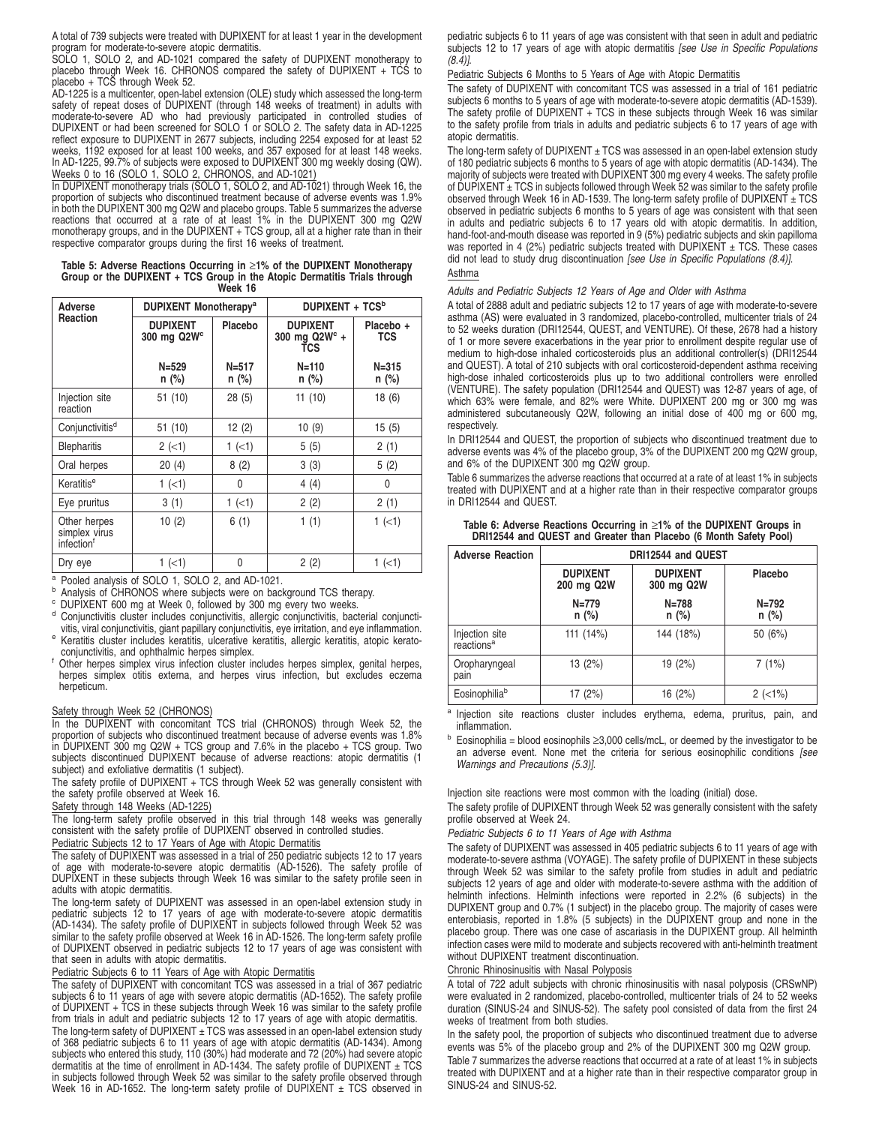A total of 739 subjects were treated with DUPIXENT for at least 1 year in the development program for moderate-to-severe atopic dermatitis.

SOLO 1, SOLO 2, and AD-1021 compared the safety of DUPIXENT monotherapy to placebo through Week 16. CHRONOS compared the safety of DUPIXENT + TCS to placebo + TCS through Week 52.

AD-1225 is a multicenter, open-label extension (OLE) study which assessed the long-term safety of repeat doses of DUPIXENT (through 148 weeks of treatment) in adults with moderate-to-severe AD who had previously participated in controlled studies of DUPIXENT or had been screened for SOLO 1 or SOLO 2. The safety data in AD-1225<br>reflect exposure to DUPIXENT in 2677 subjects, including 2254 exposed for at least 52<br>weeks, 1192 exposed for at least 100 weeks, and 357 expos In AD-1225, 99.7% of subjects were exposed to DUPIXENT 300 mg weekly dosing (QW). Weeks 0 to 16 (SOLO 1, SOLO 2, CHRONOS, and AD-1021)

In DUPIXENT monotherapy trials (SOLO 1, SOLO 2, and AD-1021) through Week 16, the proportion of subjects who discontinued treatment because of adverse events was 1.9% in both the DUPIXENT 300 mg Q2W and placebo groups. Table 5 summarizes the adverse reactions that occurred at a rate of at least 1% in the DUPIXENT 300 mg Q2W monotherapy groups, and in the DUPIXENT + TCS group, all at a higher rate than in their respective comparator groups during the first 16 weeks of treatment.

#### **Table 5: Adverse Reactions Occurring in** ≥**1% of the DUPIXENT Monotherapy Group or the DUPIXENT + TCS Group in the Atopic Dermatitis Trials through Week 16**

| DUPIXENT Monotherapy <sup>a</sup><br>Adverse |                                            |                      | DUPIXENT + TCS <sup>b</sup>                       |                         |
|----------------------------------------------|--------------------------------------------|----------------------|---------------------------------------------------|-------------------------|
| Reaction                                     | <b>DUPIXENT</b><br>300 mg Q2W <sup>c</sup> | Placebo              | <b>DUPIXENT</b><br>300 mg $Q2W^c +$<br><b>TCS</b> | Placebo +<br><b>TCS</b> |
|                                              | $N = 529$<br>$n$ (%)                       | $N = 517$<br>$n$ (%) | $N = 110$<br>$n$ (%)                              | $N = 315$<br>$n$ (%)    |
| Injection site<br>reaction                   | 51 (10)                                    | 28(5)                | 11(10)                                            | 18(6)                   |
| Conjunctivitis <sup>d</sup>                  | 51 (10)                                    | 12(2)                | 10(9)                                             | 15(5)                   |
| <b>Blepharitis</b>                           | $2 (-1)$                                   | $1 (-1)$             | 5(5)                                              | 2(1)                    |
| Oral herpes                                  | 20(4)                                      | 8(2)                 | 3(3)                                              | 5(2)                    |
| Keratitis <sup>e</sup>                       | $1 (-1)$                                   | 0                    | 4(4)                                              | 0                       |
| Eye pruritus                                 | 3(1)                                       | $1$ (<1)             | 2(2)                                              | 2(1)                    |
| Other herpes<br>simplex virus<br>infectionf  | 10(2)                                      | 6(1)                 | 1(1)                                              | $1 (-1)$                |
| Dry eye                                      | $1$ ( $<$ 1)                               | 0                    | 2(2)                                              | $1$ ( $<$ 1)            |

<sup>a</sup> Pooled analysis of SOLO 1, SOLO 2, and AD-1021.

<sup>b</sup> Analysis of CHRONOS where subjects were on background TCS therapy.

<sup>c</sup> DUPIXENT 600 mg at Week 0, followed by 300 mg every two weeks.

- <sup>d</sup> Conjunctivitis cluster includes conjunctivitis, allergic conjunctivitis, bacterial conjunctivitis, viral conjunctivitis, giant papillary conjunctivitis, eye irritation, and eye inflammation.
- e Keratitis cluster includes keratitis, ulcerative keratitis, allergic keratitis, atopic keratoconjunctivitis, and ophthalmic herpes simplex.
- Other herpes simplex virus infection cluster includes herpes simplex, genital herpes, herpes simplex otitis externa, and herpes virus infection, but excludes eczema herpeticum.

## Safety through Week 52 (CHRONOS)

In the DUPIXENT with concomitant TCS trial (CHRONOS) through Week 52, the proportion of subjects who discontinued treatment because of adverse events was 1.8% in DUPIXENT 300 mg Q2W + TCS group and 7.6% in the placebo + TCS group. Two subjects discontinued DUPIXENT because of adverse reactions: atopic dermatitis (1 subject) and exfoliative dermatitis (1 subject).

The safety profile of DUPIXENT + TCS through Week 52 was generally consistent with the safety profile observed at Week 16.

Safety through 148 Weeks (AD-1225)

The long-term safety profile observed in this trial through 148 weeks was generally consistent with the safety profile of DUPIXENT observed in controlled studies.

Pediatric Subjects 12 to 17 Years of Age with Atopic Dermatitis

The safety of DUPIXENT was assessed in a trial of 250 pediatric subjects 12 to 17 years of age with moderate-to-severe atopic dermatitis (AD-1526). The safety profile of DUPIXENT in these subjects through Week 16 was similar to the safety profile seen in adults with atopic dermatitis.

The long-term safety of DUPIXENT was assessed in an open-label extension study in pediatric subjects 12 to 17 years of age with moderate-to-severe atopic dermatitis (AD-1434). The safety profile of DUPIXENT in subjects followed through Week 52 was similar to the safety profile observed at Week 16 in AD-1526. The long-term safety profile of DUPIXENT observed in pediatric subjects 12 to 17 years of age was consistent with that seen in adults with atopic dermatitis.

#### Pediatric Subjects 6 to 11 Years of Age with Atopic Dermatitis

The safety of DUPIXENT with concomitant TCS was assessed in a trial of 367 pediatric subjects 6 to 11 years of age with severe atopic dermatitis (AD-1652). The safety profile of DUPIXENT + TCS in these subjects through Week 16 was similar to the safety profile from trials in adult and pediatric subjects 12 to 17 years of age with atopic dermatitis.

The long-term safety of DUPIXENT  $\pm$  TCS was assessed in an open-label extension study of 368 pediatric subjects 6 to 11 years of age with atopic dermatitis (AD-1434). Among subjects who entered this study, 110 (30%) had moderate and 72 (20%) had severe atopic dermatitis at the time of enrollment in AD-1434. The safety profile of DUPIXENT  $\pm$  TCS in subjects followed through Week 52 was similar to the safety profile observed through<br>Week 16 in AD-1652. The long-term safety profile of DUPIXENT ± TCS observed in

pediatric subjects 6 to 11 years of age was consistent with that seen in adult and pediatric subjects 12 to 17 years of age with atopic dermatitis [see Use in Specific Populations  $(8.4)$ ].

#### Pediatric Subjects 6 Months to 5 Years of Age with Atopic Dermatitis

The safety of DUPIXENT with concomitant TCS was assessed in a trial of 161 pediatric subjects 6 months to 5 years of age with moderate-to-severe atopic dermatitis (AD-1539). The safety profile of  $DUPIXENT + TCS$  in these subjects through Week 16 was similar to the safety profile from trials in adults and pediatric subjects 6 to 17 years of age with atopic dermatitis.

The long-term safety of DUPIXENT  $\pm$  TCS was assessed in an open-label extension study of 180 pediatric subjects 6 months to 5 years of age with atopic dermatitis (AD-1434). The majority of subjects were treated with DUPIXENT 300 mg every 4 weeks. The safety profile of  $\text{DUPIXENT} \pm \text{TCS}$  in subjects followed through Week 52 was similar to the safety profile observed through Week 16 in AD-1539. The long-term safety profile of DUPIXENT  $\pm$  TCS observed in pediatric subjects 6 months to 5 years of age was consistent with that seen in adults and pediatric subjects 6 to 17 years old with atopic dermatitis. In addition, hand-foot-and-mouth disease was reported in 9 (5%) pediatric subjects and skin papilloma was reported in 4 (2%) pediatric subjects treated with DUPIXENT  $\pm$  TCS. These cases did not lead to study drug discontinuation [see Use in Specific Populations (8.4)]. Asthma

#### Adults and Pediatric Subjects 12 Years of Age and Older with Asthma

A total of 2888 adult and pediatric subjects 12 to 17 years of age with moderate-to-severe asthma (AS) were evaluated in 3 randomized, placebo-controlled, multicenter trials of 24 to 52 weeks duration (DRI12544, QUEST, and VENTURE). Of these, 2678 had a history of 1 or more severe exacerbations in the year prior to enrollment despite regular use of medium to high-dose inhaled corticosteroids plus an additional controller(s) (DRI12544 and QUEST). A total of 210 subjects with oral corticosteroid-dependent asthma receiving high-dose inhaled corticosteroids plus up to two additional controllers were enrolled (VENTURE). The safety population (DRI12544 and QUEST) was 12-87 years of age, of which 63% were female, and 82% were White. DUPIXENT 200 mg or 300 mg was administered subcutaneously Q2W, following an initial dose of 400 mg or 600 mg, respectively.

In DRI12544 and QUEST, the proportion of subjects who discontinued treatment due to adverse events was 4% of the placebo group, 3% of the DUPIXENT 200 mg Q2W group, and 6% of the DUPIXENT 300 mg Q2W group.

Table 6 summarizes the adverse reactions that occurred at a rate of at least 1% in subjects treated with DUPIXENT and at a higher rate than in their respective comparator groups in DRI12544 and QUEST.

| Table 6: Adverse Reactions Occurring in $\geq$ 1% of the DUPIXENT Groups in |
|-----------------------------------------------------------------------------|
| DRI12544 and QUEST and Greater than Placebo (6 Month Safety Pool)           |

| <b>Adverse Reaction</b>                  |                                                                | DRI12544 and QUEST   |                      |  |  |
|------------------------------------------|----------------------------------------------------------------|----------------------|----------------------|--|--|
|                                          | <b>DUPIXENT</b><br><b>DUPIXENT</b><br>200 mg Q2W<br>300 mg Q2W |                      | Placebo              |  |  |
|                                          | $N = 779$<br>$n$ (%)                                           | $N = 788$<br>$n$ (%) | $N = 792$<br>$n$ (%) |  |  |
| Injection site<br>reactions <sup>a</sup> | 111 (14%)                                                      | 144 (18%)            | 50 (6%)              |  |  |
| Oropharyngeal<br>pain                    | 13(2%)                                                         | 19 (2%)              | 7(1%)                |  |  |
| Eosinophiliab                            | 17 (2%)                                                        | 16 (2%)              | $2$ ( $<$ 1%)        |  |  |

a Injection site reactions cluster includes erythema, edema, pruritus, pain, and inflammation.

 $<sup>b</sup>$  Eosinophilia = blood eosinophils ≥3,000 cells/mcL, or deemed by the investigator to be</sup> an adverse event. None met the criteria for serious eosinophilic conditions (see Warnings and Precautions (5.3)].

Injection site reactions were most common with the loading (initial) dose.

The safety profile of DUPIXENT through Week 52 was generally consistent with the safety profile observed at Week 24.

Pediatric Subjects 6 to 11 Years of Age with Asthma

The safety of DUPIXENT was assessed in 405 pediatric subjects 6 to 11 years of age with moderate-to-severe asthma (VOYAGE). The safety profile of DUPIXENT in these subjects through Week 52 was similar to the safety profile from studies in adult and pediatric subjects 12 years of age and older with moderate-to-severe asthma with the addition of helminth infections. Helminth infections were reported in 2.2% (6 subjects) in the DUPIXENT group and 0.7% (1 subject) in the placebo group. The majority of cases were enterobiasis, reported in 1.8% (5 subjects) in the DUPIXENT group and none in the placebo group. There was one case of ascariasis in the DUPIXENT group. All helminth infection cases were mild to moderate and subjects recovered with anti-helminth treatment without DUPIXENT treatment discontinuation.

#### Chronic Rhinosinusitis with Nasal Polyposis

A total of 722 adult subjects with chronic rhinosinusitis with nasal polyposis (CRSwNP) were evaluated in 2 randomized, placebo-controlled, multicenter trials of 24 to 52 weeks duration (SINUS-24 and SINUS-52). The safety pool consisted of data from the first 24 weeks of treatment from both studies.

In the safety pool, the proportion of subjects who discontinued treatment due to adverse events was 5% of the placebo group and 2% of the DUPIXENT 300 mg Q2W group.

Table 7 summarizes the adverse reactions that occurred at a rate of at least 1% in subjects treated with DUPIXENT and at a higher rate than in their respective comparator group in SINUS-24 and SINUS-52.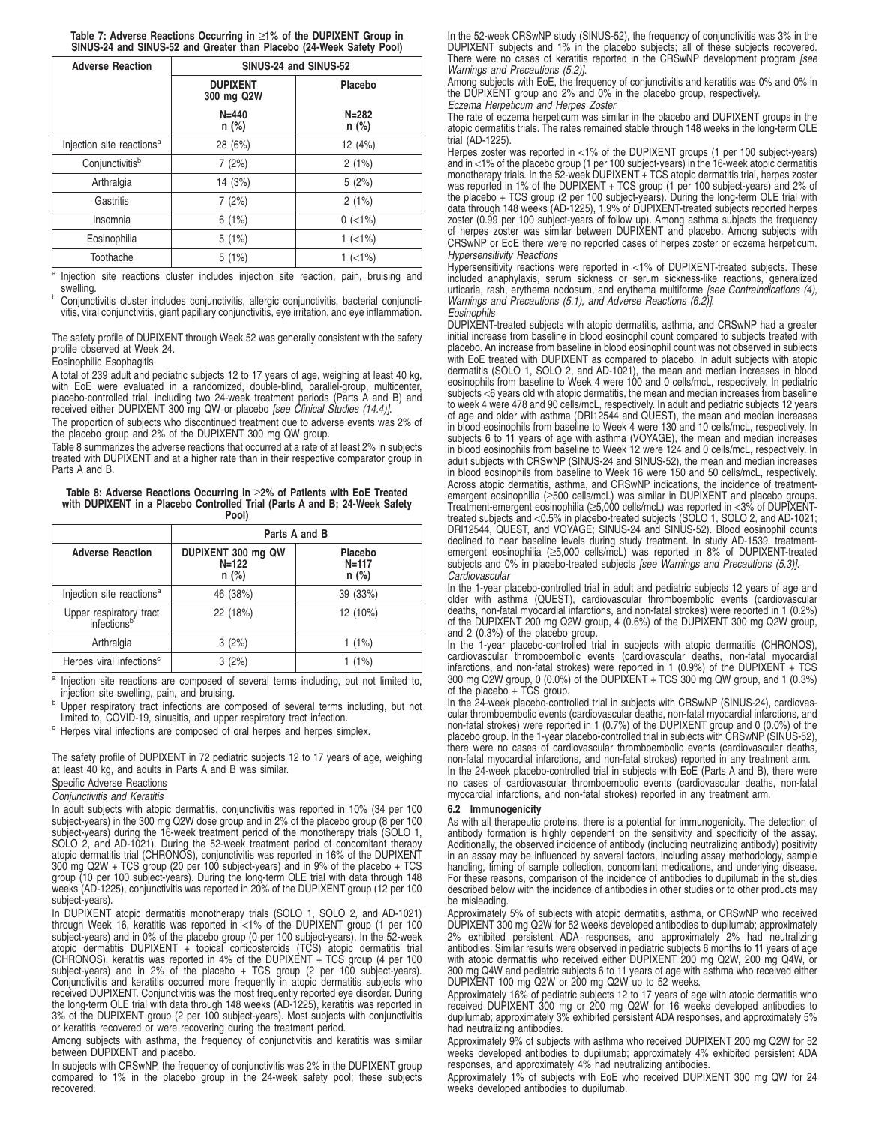|  | Table 7: Adverse Reactions Occurring in ≥1% of the DUPIXENT Group in |
|--|----------------------------------------------------------------------|
|  | SINUS-24 and SINUS-52 and Greater than Placebo (24-Week Safety Pool) |

| <b>Adverse Reaction</b>               | SINUS-24 and SINUS-52         |                      |  |
|---------------------------------------|-------------------------------|----------------------|--|
|                                       | <b>DUPIXENT</b><br>300 mg Q2W | Placebo              |  |
|                                       | $N = 440$<br>$n$ (%)          | $N = 282$<br>$n$ (%) |  |
| Injection site reactions <sup>a</sup> | 28 (6%)                       | 12 (4%)              |  |
| Conjunctivitisb                       | 7(2%)                         | 2(1%)                |  |
| Arthralgia                            | 14(3%)                        | 5(2%)                |  |
| Gastritis                             | 7(2%)                         | 2(1%)                |  |
| Insomnia                              | 6(1%)                         | $0$ (<1%)            |  |
| Eosinophilia                          | 5(1%)                         | $1$ (<1%)            |  |
| Toothache                             | 5(1%)                         | $1$ (<1%)            |  |

<sup>a</sup> Injection site reactions cluster includes injection site reaction, pain, bruising and swelling.

<sup>b</sup> Conjunctivitis cluster includes conjunctivitis, allergic conjunctivitis, bacterial conjunctivitis, viral conjunctivitis, giant papillary conjunctivitis, eye irritation, and eye inflammation.

The safety profile of DUPIXENT through Week 52 was generally consistent with the safety profile observed at Week 24.

#### Eosinophilic Esophagitis

A total of 239 adult and pediatric subjects 12 to 17 years of age, weighing at least 40 kg, with EoE were evaluated in a randomized, double-blind, parallel-group, multicenter, placebo-controlled trial, including two 24-week treatment periods (Parts A and B) and<br>received either DUPIXENT 300 mg QW or placebo *[see Clinical Studies (14.4)]*.

The proportion of subjects who discontinued treatment due to adverse events was 2% of the placebo group and 2% of the DUPIXENT 300 mg QW group.

Table 8 summarizes the adverse reactions that occurred at a rate of at least 2% in subjects treated with DUPIXENT and at a higher rate than in their respective comparator group in Parts A and B.

**Table 8: Adverse Reactions Occurring in** ≥**2% of Patients with EoE Treated with DUPIXENT in a Placebo Controlled Trial (Parts A and B; 24-Week Safety Pool)**

|                                                    | Parts A and B                              |                                 |  |  |
|----------------------------------------------------|--------------------------------------------|---------------------------------|--|--|
| <b>Adverse Reaction</b>                            | DUPIXENT 300 mg QW<br>$N = 122$<br>$n$ (%) | Placebo<br>$N = 117$<br>$n$ (%) |  |  |
| Injection site reactions <sup>a</sup>              | 46 (38%)                                   | 39 (33%)                        |  |  |
| Upper respiratory tract<br>infections <sup>b</sup> | 22 (18%)                                   | 12 (10%)                        |  |  |
| Arthralgia                                         | 3(2%)                                      | $1(1\%)$                        |  |  |
| Herpes viral infections <sup>c</sup>               | 3(2%)                                      | $1(1\%)$                        |  |  |

<sup>a</sup> Injection site reactions are composed of several terms including, but not limited to, injection site swelling, pain, and bruising.

<sup>b</sup> Upper respiratory tract infections are composed of several terms including, but not limited to, COVID-19, sinusitis, and upper respiratory tract infection.

<sup>c</sup> Herpes viral infections are composed of oral herpes and herpes simplex.

The safety profile of DUPIXENT in 72 pediatric subjects 12 to 17 years of age, weighing at least 40 kg, and adults in Parts A and B was similar.

## Specific Adverse Reactions

## Conjunctivitis and Keratitis

In adult subjects with atopic dermatitis, conjunctivitis was reported in 10% (34 per 100 subject-years) in the 300 mg Q2W dose group and in 2% of the placebo group (8 per 100 subject-years) during the 16-week treatment period of the monotherapy trials (SOLO 1, SOLO 2, and AD-1021). During the 52-week treatment period of concomitant therapy atopic dermatitis trial (CHRONOS), conjunctivitis was reported in 16% of the DUPIXENT 300 mg Q2W + TCS group (20 per 100 subject-years) and in 9% of the placebo + TCS group (10 per 100 subject-years). During the long-term OLE trial with data through 148 weeks (AD-1225), conjunctivitis was reported in 20% of the DUPIXENT group (12 per 100 subject-years).

In DUPIXENT atopic dermatitis monotherapy trials (SOLO 1, SOLO 2, and AD-1021) through Week 16, keratitis was reported in <1% of the DUPIXENT group (1 per 100 subject-years) and in 0% of the placebo group (0 per 100 subject-years). In the 52-week atopic dermatitis DUPIXENT + topical corticosteroids (TCS) atopic dermatitis trial (CHRONOS), keratitis was reported in 4% of the DUPIXENT + TCS group (4 per 100 subject-years) and in 2% of the placebo + TCS group (2 per 100 subject-years). Conjunctivitis and keratitis occurred more frequently in atopic dermatitis subjects who received DUPIXENT. Conjunctivitis was the most frequently reported eye disorder. During the long-term OLE trial with data through 148 weeks (AD-1225), keratitis was reported in 3% of the DUPIXENT group (2 per 100 subject-years). Most subjects with conjunctivitis or keratitis recovered or were recovering during the treatment period.

Among subjects with asthma, the frequency of conjunctivitis and keratitis was similar between DUPIXENT and placebo.

In subjects with CRSwNP, the frequency of conjunctivitis was 2% in the DUPIXENT group compared to 1% in the placebo group in the 24-week safety pool; these subjects recovered.

In the 52-week CRSwNP study (SINUS-52), the frequency of conjunctivitis was 3% in the DUPIXENT subjects and 1% in the placebo subjects; all of these subjects recovered. There were no cases of keratitis reported in the CRSwNP development program [see Warnings and Precautions (5.2)].

Among subjects with EoE, the frequency of conjunctivitis and keratitis was 0% and 0% in the DUPIXENT group and 2% and 0% in the placebo group, respectively.

Eczema Herpeticum and Herpes Zoster

The rate of eczema herpeticum was similar in the placebo and DUPIXENT groups in the atopic dermatitis trials. The rates remained stable through 148 weeks in the long-term OLE trial (AD-1225).

Herpes zoster was reported in <1% of the DUPIXENT groups (1 per 100 subject-years) and in <1% of the placebo group (1 per 100 subject-years) in the 16-week atopic dermatitis monotherapy trials. In the 52-week DUPIXENT + TCS atopic dermatitis trial, herpes zoster was reported in 1% of the DUPIXENT + TCS group (1 per 100 subject-years) and 2% of the placebo + TCS group (2 per 100 subject-years). During the long-term OLE trial with data through 148 weeks (AD-1225), 1.9% of DUPIXENT-treated subjects reported herpes zoster (0.99 per 100 subject-years of follow up). Among asthma subjects the frequency of herpes zoster was similar between DUPIXENT and placebo. Among subjects with CRSwNP or EoE there were no reported cases of herpes zoster or eczema herpeticum. Hypersensitivity Reactions

Hypersensitivity reactions were reported in <1% of DUPIXENT-treated subjects. These included anaphylaxis, serum sickness or serum sickness-like reactions, generalized urticaria, rash, erythema nodosum, and erythema multiforme [see Contraindications (4), Warnings and Precautions (5.1), and Adverse Reactions (6.2)]. **Eosinophils** 

DUPIXENT-treated subjects with atopic dermatitis, asthma, and CRSwNP had a greater initial increase from baseline in blood eosinophil count compared to subjects treated with placebo. An increase from baseline in blood eosinophil count was not observed in subjects with EoE treated with DUPIXENT as compared to placebo. In adult subjects with atopic dermatitis (SOLO 1, SOLO 2, and AD-1021), the mean and median increases in blood eosinophils from baseline to Week 4 were 100 and 0 cells/mcL, respectively. In pediatric subjects <6 years old with atopic dermatitis, the mean and median increases from baseline to week 4 were 478 and 90 cells/mcL, respectively. In adult and pediatric subjects 12 years of age and older with asthma (DRI12544 and QUEST), the mean and median increases in blood eosinophils from baseline to Week 4 were 130 and 10 cells/mcL, respectively. In subjects 6 to 11 years of age with asthma (VOYAGE), the mean and median increases in blood eosinophils from baseline to Week 12 were 124 and 0 cells/mcL, respectively. In adult subjects with CRSwNP (SINUS-24 and SINUS-52), the mean and median increases in blood eosinophils from baseline to Week 16 were 150 and 50 cells/mcL, respectively. Across atopic dermatitis, asthma, and CRSwNP indications, the incidence of treatmentemergent eosinophilia (≥500 cells/mcL) was similar in DUPIXENT and placebo groups. Treatment-emergent eosinophilia (≥5,000 cells/mcL) was reported in <3% of DUPIXENT-<br>treated subjects and <0.5% in placebo-treated subjects (SOLO 1, SOLO 2, and AD-1021;<br>DRI12544, QUEST, and VOYAGE; SINUS-24 and SINUS-52). declined to near baseline levels during study treatment. In study AD-1539, treatment-emergent eosinophilia (≥5,000 cells/mcL) was reported in 8% of DUPIXENT-treated subjects and 0% in placebo-treated subjects [see Warnings and Precautions (5.3)]. **Cardiovascular** 

In the 1-year placebo-controlled trial in adult and pediatric subjects 12 years of age and older with asthma (QUEST), cardiovascular thromboembolic events (cardiovascular deaths, non-fatal myocardial infarctions, and non-fatal strokes) were reported in 1 (0.2%) of the DUPIXENT 200 mg Q2W group, 4 (0.6%) of the DUPIXENT 300 mg Q2W group, and 2 (0.3%) of the placebo group.

In the 1-year placebo-controlled trial in subjects with atopic dermatitis (CHRONOS), cardiovascular thromboembolic events (cardiovascular deaths, non-fatal myocardial infarctions, and non-fatal strokes) were reported in 1 (0.9%) of the DUPIXENT + TCS 300 mg Q2W group, 0 (0.0%) of the DUPIXENT + TCS 300 mg QW group, and 1 (0.3%) of the placebo + TCS group.

In the 24-week placebo-controlled trial in subjects with CRSwNP (SINUS-24), cardiovascular thromboembolic events (cardiovascular deaths, non-fatal myocardial infarctions, and<br>non-fatal strokes) were reported in 1 (0.7%) of the DUPIXENT group and 0 (0.0%) of the<br>placebo group. In the 1-year placebo-controll there were no cases of cardiovascular thromboembolic events (cardiovascular deaths, non-fatal myocardial infarctions, and non-fatal strokes) reported in any treatment arm. In the 24-week placebo-controlled trial in subjects with EoE (Parts A and B), there were no cases of cardiovascular thromboembolic events (cardiovascular deaths, non-fatal myocardial infarctions, and non-fatal strokes) reported in any treatment arm.

#### **6.2 Immunogenicity**

As with all therapeutic proteins, there is a potential for immunogenicity. The detection of antibody formation is highly dependent on the sensitivity and specificity of the assay. Additionally, the observed incidence of antibody (including neutralizing antibody) positivity in an assay may be influenced by several factors, including assay methodology, sample handling, timing of sample collection, concomitant medications, and underlying disease. For these reasons, comparison of the incidence of antibodies to dupilumab in the studies described below with the incidence of antibodies in other studies or to other products may be misleading.

Approximately 5% of subjects with atopic dermatitis, asthma, or CRSwNP who received DUPIXENT 300 mg Q2W for 52 weeks developed antibodies to dupilumab; approximately 2% exhibited persistent ADA responses, and approximately 2% had neutralizing antibodies. Similar results were observed in pediatric subjects 6 months to 11 years of age with atopic dermatitis who received either DUPIXENT 200 mg Q2W, 200 mg Q4W, or 300 mg Q4W and pediatric subjects 6 to 11 years of age with asthma who received either DUPIXENT 100 mg Q2W or 200 mg Q2W up to 52 weeks.

Approximately 16% of pediatric subjects 12 to 17 years of age with atopic dermatitis who received DUPIXENT 300 mg or 200 mg Q2W for 16 weeks developed antibodies to dupilumab; approximately 3% exhibited persistent ADA responses, and approximately 5% had neutralizing antibodies.

Approximately 9% of subjects with asthma who received DUPIXENT 200 mg Q2W for 52 weeks developed antibodies to dupilumab; approximately 4% exhibited persistent ADA responses, and approximately 4% had neutralizing antibodies.

Approximately 1% of subjects with EoE who received DUPIXENT 300 mg QW for 24 weeks developed antibodies to dupilumab.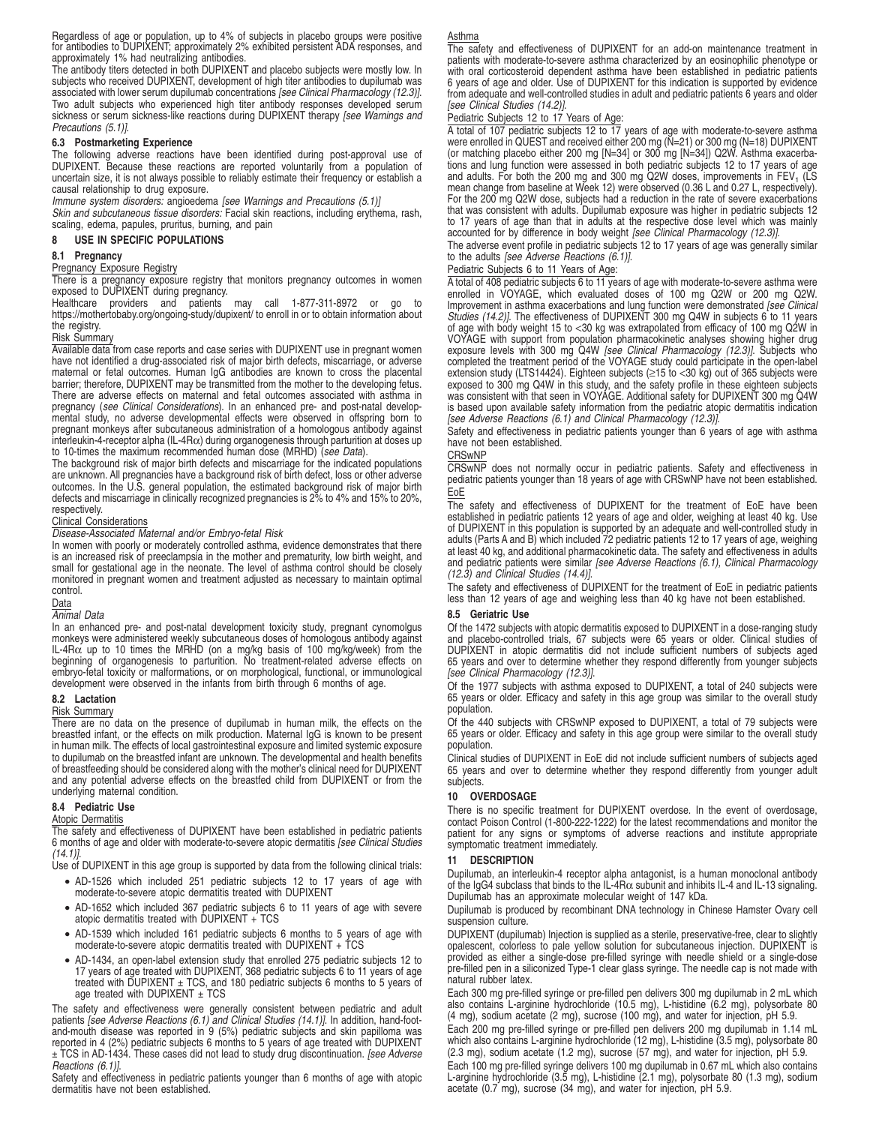Regardless of age or population, up to 4% of subjects in placebo groups were positive for antibodies to DUPIXENT; approximately 2% exhibited persistent ADA responses, and approximately 1% had neutralizing antibodies.

The antibody titers detected in both DUPIXENT and placebo subjects were mostly low. In subjects who received DUPIXENT, development of high titer antibodies to dupilumab was associated with lower serum dupilumab concentrations [see Clinical Pharmacology (12.3)]. Two adult subjects who experienced high titer antibody responses developed serum sickness or serum sickness-like reactions during DUPIXENT therapy [see Warnings and Precautions (5.1)].

## **6.3 Postmarketing Experience**

The following adverse reactions have been identified during post-approval use of DUPIXENT. Because these reactions are reported voluntarily from a population of uncertain size, it is not always possible to reliably estimate their frequency or establish a causal relationship to drug exposure.

Immune system disorders: angioedema [see Warnings and Precautions (5.1)]

Skin and subcutaneous tissue disorders: Facial skin reactions, including erythema, rash, scaling, edema, papules, pruritus, burning, and pain

#### **8 USE IN SPECIFIC POPULATIONS**

#### **8.1 Pregnancy**

## Pregnancy Exposure Registry

There is a pregnancy exposure registry that monitors pregnancy outcomes in women exposed to DUPIXENT during pregnancy.

Healthcare providers and patients may call 1-877-311-8972 or go to https://mothertobaby.org/ongoing-study/dupixent/ to enroll in or to obtain information about the registry.

#### Risk Summary

Available data from case reports and case series with DUPIXENT use in pregnant women have not identified a drug-associated risk of major birth defects, miscarriage, or adverse maternal or fetal outcomes. Human IgG antibodies are known to cross the placental barrier; therefore, DUPIXENT may be transmitted from the mother to the developing fetus. There are adverse effects on maternal and fetal outcomes associated with asthma in pregnancy (see Clinical Considerations). In an enhanced pre- and post-natal developmental study, no adverse developmental effects were observed in offspring born to pregnant monkeys after subcutaneous administration of a homologous antibody against interleukin-4-receptor alpha (IL-4Rα) during organogenesis through parturition at doses up to 10-times the maximum recommended human dose (MRHD) (see Data).

The background risk of major birth defects and miscarriage for the indicated populations are unknown. All pregnancies have a background risk of birth defect, loss or other adverse outcomes. In the U.S. general population, the estimated background risk of major birth defects and miscarriage in clinically recognized pregnancies is 2% to 4% and 15% to 20%, respectively.

## Clinical Considerations

## Disease-Associated Maternal and/or Embryo-fetal Risk

In women with poorly or moderately controlled asthma, evidence demonstrates that there is an increased risk of preeclampsia in the mother and prematurity, low birth weight, and small for gestational age in the neonate. The level of asthma control should be closely monitored in pregnant women and treatment adjusted as necessary to maintain optimal control.

#### **Data**

Animal Data

In an enhanced pre- and post-natal development toxicity study, pregnant cynomolgus monkeys were administered weekly subcutaneous doses of homologous antibody against<br>IL-4Ro: up to 10 times the MRHD (on a mg/kg basis of 100 mg/kg/week) from the<br>beginning of organogenesis to parturition. No treatment-relat embryo-fetal toxicity or malformations, or on morphological, functional, or immunological development were observed in the infants from birth through 6 months of age.

## **8.2 Lactation**

### Risk Summary

There are no data on the presence of dupilumab in human milk, the effects on the breastfed infant, or the effects on milk production. Maternal IgG is known to be present in human milk. The effects of local gastrointestinal exposure and limited systemic exposure to dupilumab on the breastfed infant are unknown. The developmental and health benefits of breastfeeding should be considered along with the mother's clinical need for DUPIXENT and any potential adverse effects on the breastfed child from DUPIXENT or from the underlying maternal condition.

## **8.4 Pediatric Use**

#### Atopic Dermatitis

The safety and effectiveness of DUPIXENT have been established in pediatric patients 6 months of age and older with moderate-to-severe atopic dermatitis [see Clinical Studies  $(14.1)$ ]

Use of DUPIXENT in this age group is supported by data from the following clinical trials: • AD-1526 which included 251 pediatric subjects 12 to 17 years of age with

- moderate-to-severe atopic dermatitis treated with DUPIXENT
- AD-1652 which included 367 pediatric subjects 6 to 11 years of age with severe atopic dermatitis treated with DUPIXENT + TCS
- AD-1539 which included 161 pediatric subjects 6 months to 5 years of age with moderate-to-severe atopic dermatitis treated with DUPIXENT + TCS
- AD-1434, an open-label extension study that enrolled 275 pediatric subjects 12 to 17 years of age treated with DUPIXENT, 368 pediatric subjects 6 to 11 years of age treated with DUPIXENT ± TCS, and 180 pediatric subjects 6 months to 5 years of age treated with DUPIXENT  $\pm$  TCS

The safety and effectiveness were generally consistent between pediatric and adult<br>patients *[see Adverse Reactions (6.1) and Clinical Studies (14.1)]*. In addition, hand-footand-mouth disease was reported in 9 (5%) pediatric subjects and skin papilloma was reported in 4 (2%) pediatric subjects 6 months to 5 years of age treated with DUPIXENT<br>± TCS in AD-1434. These cases did not lead to study drug discontinuation. *[see Adverse* Reactions (6.1)].

Safety and effectiveness in pediatric patients younger than 6 months of age with atopic dermatitis have not been established.

#### Asthma

The safety and effectiveness of DUPIXENT for an add-on maintenance treatment in patients with moderate-to-severe asthma characterized by an eosinophilic phenotype or with oral corticosteroid dependent asthma have been established in pediatric patients 6 years of age and older. Use of DUPIXENT for this indication is supported by evidence from adequate and well-controlled studies in adult and pediatric patients 6 years and older [see Clinical Studies (14.2)].

## Pediatric Subjects 12 to 17 Years of Age:

A total of 107 pediatric subjects 12 to 17 years of age with moderate-to-severe asthma were enrolled in QUEST and received either 200 mg (N=21) or 300 mg (N=18) DUPIXENT (or matching placebo either 200 mg [N=34] or 300 mg [N=34]) Q2W. Asthma exacerbations and lung function were assessed in both pediatric subjects 12 to 17 years of age and adults. For both the 200 mg and 300 mg Q2W doses, improvements in  $FEV<sub>1</sub>$  (LS mean change from baseline at Week 12) were observed (0.36 L and 0.27 L, respectively). For the 200 mg Q2W dose, subjects had a reduction in the rate of severe exacerbations that was consistent with adults. Dupilumab exposure was higher in pediatric subjects 12 to 17 years of age than that in adults at the respective dose level which was mainly accounted for by difference in body weight [see Clinical Pharmacology (12.3)].

The adverse event profile in pediatric subjects 12 to 17 years of age was generally similar to the adults [see Adverse Reactions (6.1)].

#### Pediatric Subjects 6 to 11 Years of Age:

A total of 408 pediatric subjects 6 to 11 years of age with moderate-to-severe asthma were enrolled in VOYAGE, which evaluated doses of 100 mg Q2W or 200 mg Q2W.<br>Improvement in asthma exacerbations and lung function were demonstrated [see Clinical Studies (14.2)]. The effectiveness of DUPIXENT 300 mg Q4W in subjects 6 to 11 years of age with body weight 15 to <30 kg was extrapolated from efficacy of 100 mg Q2W in VOYAGE with support from population pharmacokinetic analyses showing higher drug<br>exposure levels with 300 mg Q4W *[see Clinical Pharmacology (12.3)]*. Subjects who<br>completed the treatment period of the VOYAGE study could p extension study (LTS14424). Eighteen subjects (≥15 to <30 kg) out of 365 subjects were exposed to 300 mg Q4W in this study, and the safety profile in these eighteen subjects was consistent with that seen in VOYAGE. Additional safety for DUPIXENT 300 mg Q4W is based upon available safety information from the pediatric atopic dermatitis indication [see Adverse Reactions (6.1) and Clinical Pharmacology (12.3)].

Safety and effectiveness in pediatric patients younger than 6 years of age with asthma have not been established.

## **CRSwNP**

CRSwNP does not normally occur in pediatric patients. Safety and effectiveness in pediatric patients younger than 18 years of age with CRSwNP have not been established. EoE

The safety and effectiveness of DUPIXENT for the treatment of EoE have been established in pediatric patients 12 years of age and older, weighing at least 40 kg. Use of DUPIXENT in this population is supported by an adequate and well-controlled study in adults (Parts A and B) which included 72 pediatric patients 12 to 17 years of age, weighing at least 40 kg, and additional pharmacokinetic data. The safety and effectiveness in adults and pediatric patients were similar [see Adverse Reactions (6.1), Clinical Pharmacology (12.3) and Clinical Studies (14.4)].

The safety and effectiveness of DUPIXENT for the treatment of EoE in pediatric patients less than 12 years of age and weighing less than 40 kg have not been established.

#### **8.5 Geriatric Use**

Of the 1472 subjects with atopic dermatitis exposed to DUPIXENT in a dose-ranging study and placebo-controlled trials, 67 subjects were 65 years or older. Clinical studies of DUPIXENT in atopic dermatitis did not include sufficient numbers of subjects aged 65 years and over to determine whether they respond differently from younger subjects [see Clinical Pharmacology (12.3)].

Of the 1977 subjects with asthma exposed to DUPIXENT, a total of 240 subjects were 65 years or older. Efficacy and safety in this age group was similar to the overall study population.

Of the 440 subjects with CRSwNP exposed to DUPIXENT, a total of 79 subjects were 65 years or older. Efficacy and safety in this age group were similar to the overall study population.

Clinical studies of DUPIXENT in EoE did not include sufficient numbers of subjects aged 65 years and over to determine whether they respond differently from younger adult subjects.

#### **10 OVERDOSAGE**

There is no specific treatment for DUPIXENT overdose. In the event of overdosage, contact Poison Control (1-800-222-1222) for the latest recommendations and monitor the patient for any signs or symptoms of adverse reactions and institute appropriate symptomatic treatment immediately.

## **11 DESCRIPTION**

Dupilumab, an interleukin-4 receptor alpha antagonist, is a human monoclonal antibody of the IgG4 subclass that binds to the IL-4Rα subunit and inhibits IL-4 and IL-13 signaling. Dupilumab has an approximate molecular weight of 147 kDa.

Dupilumab is produced by recombinant DNA technology in Chinese Hamster Ovary cell suspension culture.

DUPIXENT (dupilumab) Injection is supplied as a sterile, preservative-free, clear to slightly opalescent, colorless to pale yellow solution for subcutaneous injection. DUPIXENT is provided as either a single-dose pre-filled syringe with needle shield or a single-dose pre-filled pen in a siliconized Type-1 clear glass syringe. The needle cap is not made with natural rubber latex.

Each 300 mg pre-filled syringe or pre-filled pen delivers 300 mg dupilumab in 2 mL which also contains L-arginine hydrochloride (10.5 mg), L-histidine (6.2 mg), polysorbate 80 (4 mg), sodium acetate (2 mg), sucrose (100 mg), and water for injection, pH 5.9.

Each 200 mg pre-filled syringe or pre-filled pen delivers 200 mg dupilumab in 1.14 mL which also contains L-arginine hydrochloride (12 mg), L-histidine (3.5 mg), polysorbate 80 (2.3 mg), sodium acetate (1.2 mg), sucrose (57 mg), and water for injection, pH 5.9.

Each 100 mg pre-filled syringe delivers 100 mg dupilumab in 0.67 mL which also contains L-arginine hydrochloride (3.5 mg), L-histidine (2.1 mg), polysorbate 80 (1.3 mg), sodium acetate (0.7 mg), sucrose (34 mg), and water for injection, pH 5.9.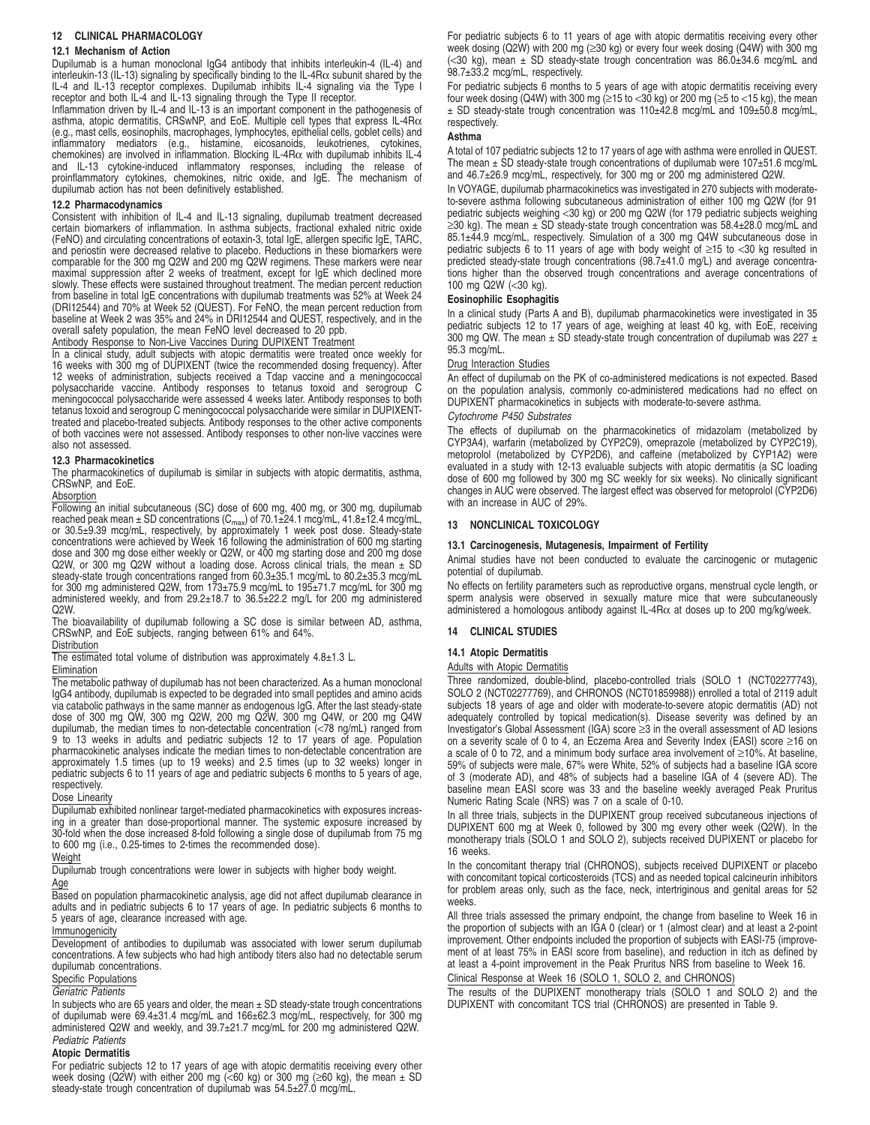## **12 CLINICAL PHARMACOLOGY**

#### **12.1 Mechanism of Action**

Dupilumab is a human monoclonal IgG4 antibody that inhibits interleukin-4 (IL-4) and interleukin-13 (IL-13) signaling by specifically binding to the IL-4R $\alpha$  subunit shared by the IL-4 and IL-13 receptor complexes. Dupilumab inhibits IL-4 signaling via the Type I receptor and both IL-4 and IL-13 signaling through the Type II receptor.

Inflammation driven by IL-4 and IL-13 is an important component in the pathogenesis of asthma, atopic dermatitis, CRSwNP, and EoE. Multiple cell types that express IL-4Rα (e.g., mast cells, eosinophils, macrophages, lymphocytes, epithelial cells, goblet cells) and<br>inflammatory mediators (e.g., histamine, eicosanoids, leukotrienes, cytokines,<br>chemokines) are involved in and IL-13 cytokine-induced inflammatory responses, including the release of proinflammatory cytokines, chemokines, nitric oxide, and IgE. The mechanism of dupilumab action has not been definitively established.

#### **12.2 Pharmacodynamics**

Consistent with inhibition of IL-4 and IL-13 signaling, dupilumab treatment decreased certain biomarkers of inflammation. In asthma subjects, fractional exhaled nitric oxide (FeNO) and circulating concentrations of eotaxin-3, total IgE, allergen specific IgE, TARC, and periostin were decreased relative to placebo. Reductions in these biomarkers were comparable for the 300 mg Q2W and 200 mg Q2W regimens. These markers were near maximal suppression after 2 weeks of treatment, except for IgE which declined more slowly. These effects were sustained throughout treatment. The median percent reduction from baseline in total IgE concentrations with dupilumab treatments was 52% at Week 24 (DRI12544) and 70% at Week 52 (QUEST). For FeNO, the mean percent reduction from baseline at Week 2 was 35% and 24% in DRI12544 and QUEST, respectively, and in the overall safety population, the mean FeNO level decreased to 20 ppb.

## Antibody Response to Non-Live Vaccines During DUPIXENT Treatment

In a clinical study, adult subjects with atopic dermatitis were treated once weekly for 16 weeks with 300 mg of DUPIXENT (twice the recommended dosing frequency). After 12 weeks of administration, subjects received a Tdap vaccine and a meningococcal polysaccharide vaccine. Antibody responses to tetanus toxoid and serogroup C meningococcal polysaccharide were assessed 4 weeks later. Antibody responses to both tetanus toxoid and serogroup C meningococcal polysaccharide were similar in DUPIXENTtreated and placebo-treated subjects. Antibody responses to the other active components of both vaccines were not assessed. Antibody responses to other non-live vaccines were also not assessed.

#### **12.3 Pharmacokinetics**

The pharmacokinetics of dupilumab is similar in subjects with atopic dermatitis, asthma, CRSwNP, and EoE.

#### Absorption

Following an initial subcutaneous (SC) dose of 600 mg, 400 mg, or 300 mg, dupilumab reached peak mean  $\pm$  SD concentrations (C<sub>max</sub>) of 70.1 $\pm$ 24.1 mcg/mL, 41.8 $\pm$ 12.4 mcg/mL, or 30.5±9.39 mcg/mL, respectively, by approximately 1 week post dose. Steady-state concentrations were achieved by Week 16 following the administration of 600 mg starting dose and 300 mg dose either weekly or Q2W, or 400 mg starting dose and 200 mg dose Q2W, or 300 mg Q2W without a loading dose. Across clinical trials, the mean ± SD<br>steady-state trough concentrations ranged from 60.3±35.1 mcg/mL to 80.2±35.3 mcg/mL for 300 mg administered Q2W, from 173±75.9 mcg/mL to 195±71.7 mcg/mL for 300 mg administered weekly, and from 29.2±18.7 to 36.5±22.2 mg/L for 200 mg administered Q2W.

The bioavailability of dupilumab following a SC dose is similar between AD, asthma, CRSwNP, and EoE subjects, ranging between 61% and 64%.

## **Distribution**

The estimated total volume of distribution was approximately 4.8±1.3 L.

#### **Elimination**

The metabolic pathway of dupilumab has not been characterized. As a human monoclonal IgG4 antibody, dupilumab is expected to be degraded into small peptides and amino acids via catabolic pathways in the same manner as endogenous IgG. After the last steady-state dose of 300 mg QW, 300 mg Q2W, 200 mg Q2W, 300 mg Q4W, or 200 mg Q4W dupilumab, the median times to non-detectable concentration (<78 ng/mL) ranged from 9 to 13 weeks in adults and pediatric subjects 12 to 17 years of age. Population pharmacokinetic analyses indicate the median times to non-detectable concentration are approximately 1.5 times (up to 19 weeks) and 2.5 times (up to 32 weeks) longer in pediatric subjects 6 to 11 years of age and pediatric subjects 6 months to 5 years of age, respectively.

#### Dose Linearity

Dupilumab exhibited nonlinear target-mediated pharmacokinetics with exposures increasing in a greater than dose-proportional manner. The systemic exposure increased by 30-fold when the dose increased 8-fold following a single dose of dupilumab from 75 mg to 600 mg (i.e., 0.25-times to 2-times the recommended dose).

## Weight

Dupilumab trough concentrations were lower in subjects with higher body weight. Age

Based on population pharmacokinetic analysis, age did not affect dupilumab clearance in adults and in pediatric subjects 6 to 17 years of age. In pediatric subjects 6 months to 5 years of age, clearance increased with age.

#### **Immunogenicity**

Development of antibodies to dupilumab was associated with lower serum dupilumab concentrations. A few subjects who had high antibody titers also had no detectable serum dupilumab concentrations.

## Specific Populations

Geriatric Patients

In subjects who are 65 years and older, the mean  $\pm$  SD steady-state trough concentrations of dupilumab were 69.4±31.4 mcg/mL and 166±62.3 mcg/mL, respectively, for 300 mg administered Q2W and weekly, and 39.7±21.7 mcg/mL for 200 mg administered Q2W. Pediatric Patients

## **Atopic Dermatitis**

For pediatric subjects 12 to 17 years of age with atopic dermatitis receiving every other<br>week dosing (Q2W) with either 200 mg (<60 kg) or 300 mg (≥60 kg), the mean ± SD<br>steady-state trough concentration of dupilumab was

For pediatric subjects 6 to 11 years of age with atopic dermatitis receiving every other week dosing (Q2W) with 200 mg (≥30 kg) or every four week dosing (Q4W) with 300 mg (<30 kg), mean ± SD steady-state trough concentration was 86.0±34.6 mcg/mL and 98.7±33.2 mcg/mL, respectively.

For pediatric subjects 6 months to 5 years of age with atopic dermatitis receiving every four week dosing (Q4W) with 300 mg ( $\geq$ 15 to <30 kg) or 200 mg ( $\geq$ 5 to <15 kg), the mean ± SD steady-state trough concentration was 110±42.8 mcg/mL and 109±50.8 mcg/mL, respectively.

#### **Asthma**

A total of 107 pediatric subjects 12 to 17 years of age with asthma were enrolled in QUEST. The mean  $\pm$  SD steady-state trough concentrations of dupilumab were 107 $\pm$ 51.6 mcg/mL and 46.7±26.9 mcg/mL, respectively, for 300 mg or 200 mg administered Q2W.

In VOYAGE, dupilumab pharmacokinetics was investigated in 270 subjects with moderateto-severe asthma following subcutaneous administration of either 100 mg Q2W (for 91 pediatric subjects weighing <30 kg) or 200 mg Q2W (for 179 pediatric subjects weighing  $\geq$ 30 kg). The mean  $\pm$  SD steady-state trough concentration was 58.4 $\pm$ 28.0 mcg/mL and 85.1±44.9 mcg/mL, respectively. Simulation of a 300 mg Q4W subcutaneous dose in pediatric subjects 6 to 11 years of age with body weight of ≥15 to <30 kg resulted in predicted steady-state trough concentrations (98.7±41.0 mg/L) and average concentrations higher than the observed trough concentrations and average concentrations of 100 mg Q2W (<30 kg).

#### **Eosinophilic Esophagitis**

In a clinical study (Parts A and B), dupilumab pharmacokinetics were investigated in 35 pediatric subjects 12 to 17 years of age, weighing at least 40 kg, with EoE, receiving 300 mg QW. The mean  $\pm$  SD steady-state trough concentration of dupilumab was 227  $\pm$ 95.3 mcg/mL.

#### Drug Interaction Studies

An effect of dupilumab on the PK of co-administered medications is not expected. Based on the population analysis, commonly co-administered medications had no effect on DUPIXENT pharmacokinetics in subjects with moderate-to-severe asthma.

#### Cytochrome P450 Substrates

The effects of dupilumab on the pharmacokinetics of midazolam (metabolized by CYP3A4), warfarin (metabolized by CYP2C9), omeprazole (metabolized by CYP2C19), metoprolol (metabolized by CYP2D6), and caffeine (metabolized by CYP1A2) were evaluated in a study with 12-13 evaluable subjects with atopic dermatitis (a SC loading dose of 600 mg followed by 300 mg SC weekly for six weeks). No clinically significant changes in AUC were observed. The largest effect was observed for metoprolol (CYP2D6) with an increase in AUC of 29%.

#### **13 NONCLINICAL TOXICOLOGY**

#### **13.1 Carcinogenesis, Mutagenesis, Impairment of Fertility**

Animal studies have not been conducted to evaluate the carcinogenic or mutagenic potential of dupilumab.

No effects on fertility parameters such as reproductive organs, menstrual cycle length, or sperm analysis were observed in sexually mature mice that were subcutaneously administered a homologous antibody against IL-4R $\alpha$  at doses up to 200 mg/kg/week.

## **14 CLINICAL STUDIES**

#### **14.1 Atopic Dermatitis**

#### Adults with Atopic Dermatitis

Three randomized, double-blind, placebo-controlled trials (SOLO 1 (NCT02277743), SOLO 2 (NCT02277769), and CHRONOS (NCT01859988)) enrolled a total of 2119 adult subjects 18 years of age and older with moderate-to-severe atopic dermatitis (AD) not adequately controlled by topical medication(s). Disease severity was defined by an Investigator's Global Assessment (IGA) score ≥3 in the overall assessment of AD lesions on a severity scale of 0 to 4, an Eczema Area and Severity Index (EASI) score ≥16 on a scale of 0 to 72, and a minimum body surface area involvement of ≥10%. At baseline, 59% of subjects were male, 67% were White, 52% of subjects had a baseline IGA score of 3 (moderate AD), and 48% of subjects had a baseline IGA of 4 (severe AD). The baseline mean EASI score was 33 and the baseline weekly averaged Peak Pruritus Numeric Rating Scale (NRS) was 7 on a scale of 0-10.

In all three trials, subjects in the DUPIXENT group received subcutaneous injections of DUPIXENT 600 mg at Week 0, followed by 300 mg every other week (Q2W). In the monotherapy trials (SOLO 1 and SOLO 2), subjects received DUPIXENT or placebo for 16 weeks.

In the concomitant therapy trial (CHRONOS), subjects received DUPIXENT or placebo with concomitant topical corticosteroids (TCS) and as needed topical calcineurin inhibitors for problem areas only, such as the face, neck, intertriginous and genital areas for 52 weeks.

All three trials assessed the primary endpoint, the change from baseline to Week 16 in the proportion of subjects with an IGA 0 (clear) or 1 (almost clear) and at least a 2-point improvement. Other endpoints included the proportion of subjects with EASI-75 (improvement of at least 75% in EASI score from baseline), and reduction in itch as defined by at least a 4-point improvement in the Peak Pruritus NRS from baseline to Week 16. Clinical Response at Week 16 (SOLO 1, SOLO 2, and CHRONOS)

The results of the DUPIXENT monotherapy trials (SOLO 1 and SOLO 2) and the DUPIXENT with concomitant TCS trial (CHRONOS) are presented in Table 9.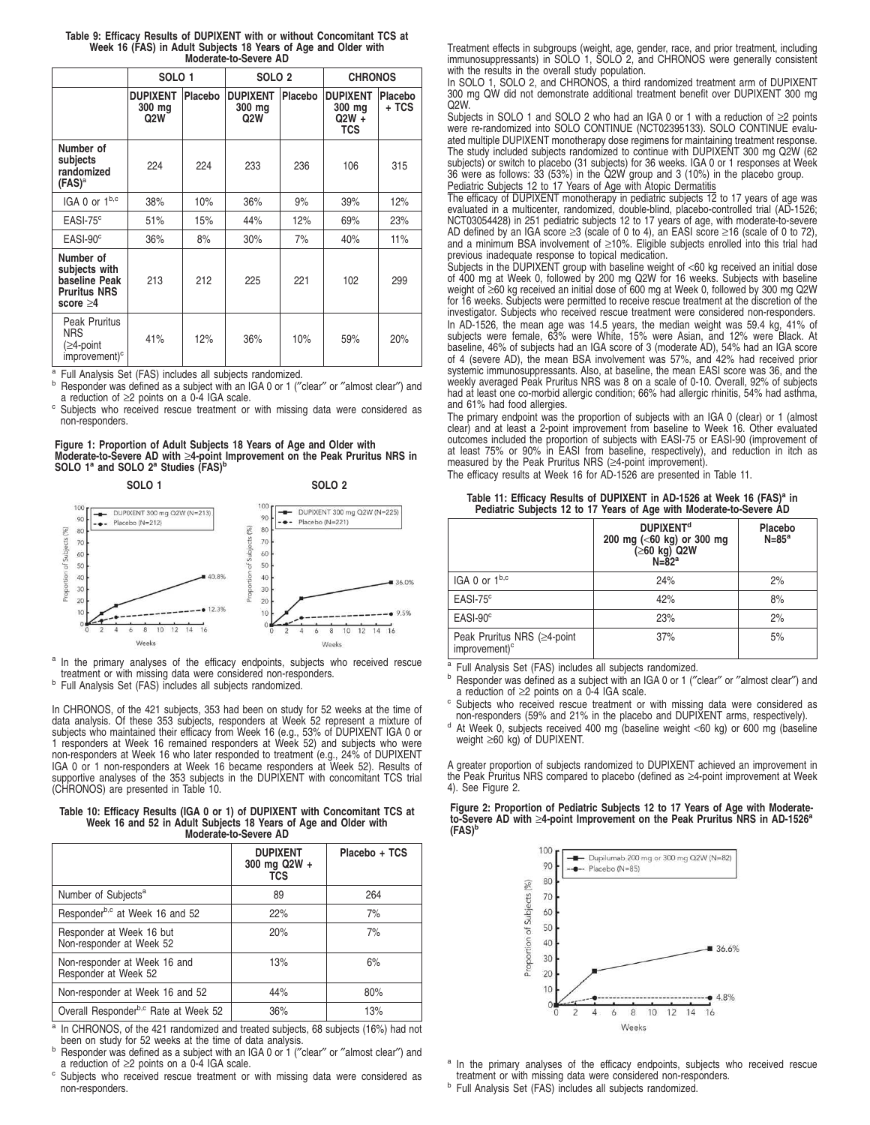| Table 9: Efficacy Results of DUPIXENT with or without Concomitant TCS at |  |  |  |  |  |
|--------------------------------------------------------------------------|--|--|--|--|--|
| Week 16 (FAS) in Adult Subjects 18 Years of Age and Older with           |  |  |  |  |  |
| Moderate-to-Severe AD                                                    |  |  |  |  |  |

|                                                                                      | SOLO <sub>1</sub>                |         | SOLO <sub>2</sub>                |         | <b>CHRONOS</b>                              |                  |  |
|--------------------------------------------------------------------------------------|----------------------------------|---------|----------------------------------|---------|---------------------------------------------|------------------|--|
|                                                                                      | <b>DUPIXENT</b><br>300 mg<br>Q2W | Placebo | <b>DUPIXENT</b><br>300 mg<br>Q2W | Placebo | <b>DUPIXENT</b><br>300 mg<br>$Q2W +$<br>TCS | Placebo<br>+ TCS |  |
| Number of<br>subjects<br>randomized<br>$(FAS)^a$                                     | 224                              | 224     | 233                              | 236     | 106                                         | 315              |  |
| IGA 0 or 1b,c                                                                        | 38%                              | 10%     | 36%                              | 9%      | 39%                                         | 12%              |  |
| $EASI-75c$                                                                           | 51%                              | 15%     | 44%                              | 12%     | 69%                                         | 23%              |  |
| $EASI-90^\circ$                                                                      | 36%                              | 8%      | 30%                              | 7%      | 40%                                         | 11%              |  |
| Number of<br>subjects with<br>baseline Peak<br><b>Pruritus NRS</b><br>score $\geq 4$ | 213                              | 212     | 225                              | 221     | 102                                         | 299              |  |
| <b>Peak Pruritus</b><br><b>NRS</b><br>(≥4-point<br>improvement) <sup>c</sup>         | 41%                              | 12%     | 36%                              | 10%     | 59%                                         | 20%              |  |

<sup>a</sup> Full Analysis Set (FAS) includes all subjects randomized.

b Responder was defined as a subject with an IGA 0 or 1 ("clear" or "almost clear") and a reduction of ≥2 points on a 0-4 IGA scale.

c Subjects who received rescue treatment or with missing data were considered as non-responders.

#### **Figure 1: Proportion of Adult Subjects 18 Years of Age and Older with Moderate-to-Severe AD with** ≥**4-point Improvement on the Peak Pruritus NRS in SOLO 1<sup>a</sup> and SOLO 2<sup>a</sup> Studies (FAS)<sup>b</sup>**





<sup>a</sup> In the primary analyses of the efficacy endpoints, subjects who received rescue treatment or with missing data were considered non-responders.

b Full Analysis Set (FAS) includes all subjects randomized.

In CHRONOS, of the 421 subjects, 353 had been on study for 52 weeks at the time of<br>data analysis. Of these 353 subjects, responders at Week 52 represent a mixture of<br>subjects who maintained their efficacy from Week 16 (e.g

# **Table 10: Efficacy Results (IGA 0 or 1) of DUPIXENT with Concomitant TCS at Week 16 and 52 in Adult Subjects 18 Years of Age and Older with Moderate-to-Severe AD**

|                                                      | <b>DUPIXENT</b><br>300 mg Q2W +<br><b>TCS</b> | Placebo + TCS |
|------------------------------------------------------|-----------------------------------------------|---------------|
| Number of Subjects <sup>a</sup>                      | 89                                            | 264           |
| Responder <sup>b,c</sup> at Week 16 and 52           | 22%                                           | 7%            |
| Responder at Week 16 but<br>Non-responder at Week 52 | 20%                                           | 7%            |
| Non-responder at Week 16 and<br>Responder at Week 52 | 13%                                           | 6%            |
| Non-responder at Week 16 and 52                      | 44%                                           | 80%           |
| Overall Responder <sup>b,c</sup> Rate at Week 52     | 36%                                           | 13%           |

a In CHRONOS, of the 421 randomized and treated subjects, 68 subjects (16%) had not been on study for 52 weeks at the time of data analysis.

b Responder was defined as a subject with an IGA 0 or 1 ("clear" or "almost clear") and a reduction of ≥2 points on a 0-4 IGA scale.

<sup>c</sup> Subjects who received rescue treatment or with missing data were considered as non-responders.

Treatment effects in subgroups (weight, age, gender, race, and prior treatment, including immunosuppressants) in SOLO 1, SOLO 2, and CHRONOS were generally consistent with the results in the overall study population.

In SOLO 1, SOLO 2, and CHRONOS, a third randomized treatment arm of DUPIXENT 300 mg QW did not demonstrate additional treatment benefit over DUPIXENT 300 mg Q2W.

Subjects in SOLO 1 and SOLO 2 who had an IGA 0 or 1 with a reduction of  $\geq$ 2 points were re-randomized into SOLO CONTINUE (NCT02395133). SOLO CONTINUE evalu-ated multiple DUPIXENT monotherapy dose regimens for maintaining treatment response. The study included subjects randomized to continue with DUPIXENT 300 mg Q2W (62 subjects) or switch to placebo (31 subjects) for 36 weeks. IGA 0 or 1 responses at Week 36 were as follows: 33 (53%) in the Q2W group and 3 (10%) in the placebo group. Pediatric Subjects 12 to 17 Years of Age with Atopic Dermatitis

The efficacy of DUPIXENT monotherapy in pediatric subjects 12 to 17 years of age was evaluated in a multicenter, randomized, double-blind, placebo-controlled trial (AD-1526; NCT03054428) in 251 pediatric subjects 12 to 17 years of age, with moderate-to-severe AD defined by an IGA score  $\geq 3$  (scale of 0 to 4), an EASI score  $\geq 16$  (scale of 0 to 72), and a minimum BSA involvement of ≥10%. Eligible subjects enrolled into this trial had previous inadequate response to topical medication.

Subjects in the DUPIXENT group with baseline weight of <60 kg received an initial dose of 400 mg at Week 0, followed by 200 mg Q2W for 16 weeks. Subjects with baseline weight of ≥60 kg received an initial dose of 600 mg at Week 0, followed by 300 mg Q2W for 16 weeks. Subjects were permitted to receive rescue treatment at the discretion of the investigator. Subjects who received rescue treatment were considered non-responders.

In AD-1526, the mean age was 14.5 years, the median weight was 59.4 kg, 41% of subjects were female, 63% were White, 15% were Asian, and 12% were Black. At baseline, 46% of subjects had an IGA score of 3 (moderate AD), 54% had an IGA score of 4 (severe AD), the mean BSA involvement was 57%, and 42% had received prior systemic immunosuppressants. Also, at baseline, the mean EASI score was 36, and the weekly averaged Peak Pruritus NRS was 8 on a scale of 0-10. Overall, 92% of subjects had at least one co-morbid allergic condition; 66% had allergic rhinitis, 54% had asthma, and 61% had food allergies.

The primary endpoint was the proportion of subjects with an IGA 0 (clear) or 1 (almost clear) and at least a 2-point improvement from baseline to Week 16. Other evaluated outcomes included the proportion of subjects with EASI-75 or EASI-90 (improvement of at least 75% or 90% in EASI from baseline, respectively), and reduction in itch as measured by the Peak Pruritus NRS (≥4-point improvement).

The efficacy results at Week 16 for AD-1526 are presented in Table 11.

#### **Table 11: Efficacy Results of DUPIXENT in AD-1526 at Week 16 (FAS)<sup>a</sup> in Pediatric Subjects 12 to 17 Years of Age with Moderate-to-Severe AD**

|                                                          | <b>DUPIXENT<sup>d</sup></b><br>200 mg (<60 kg) or 300 mg<br>(≥60 kg) Q2W<br>$N = 82a$ | Placebo<br>$N = 85^a$ |
|----------------------------------------------------------|---------------------------------------------------------------------------------------|-----------------------|
| IGA 0 or $1^{b,c}$                                       | 24%                                                                                   | 2%                    |
| $EASI-75c$                                               | 42%                                                                                   | 8%                    |
| $EASI-90c$                                               | 23%                                                                                   | 2%                    |
| Peak Pruritus NRS (≥4-point<br>improvement) <sup>c</sup> | 37%                                                                                   | 5%                    |

<sup>a</sup> Full Analysis Set (FAS) includes all subjects randomized.

b Responder was defined as a subject with an IGA 0 or 1 ("clear" or "almost clear") and a reduction of ≥2 points on a 0-4 IGA scale.

c Subjects who received rescue treatment or with missing data were considered as non-responders (59% and 21% in the placebo and DUPIXENT arms, respectively).

d At Week 0, subjects received 400 mg (baseline weight <60 kg) or 600 mg (baseline weight  $\geq 60$  kg) of DUPIXENT.

A greater proportion of subjects randomized to DUPIXENT achieved an improvement in the Peak Pruritus NRS compared to placebo (defined as ≥4-point improvement at Week 4). See Figure 2.

**Figure 2: Proportion of Pediatric Subjects 12 to 17 Years of Age with Moderateto-Severe AD with** ≥**4-point Improvement on the Peak Pruritus NRS in AD-1526<sup>a</sup> (FAS)<sup>b</sup>**



<sup>a</sup> In the primary analyses of the efficacy endpoints, subjects who received rescue treatment or with missing data were considered non-responders.

<sup>b</sup> Full Analysis Set (FAS) includes all subjects randomized.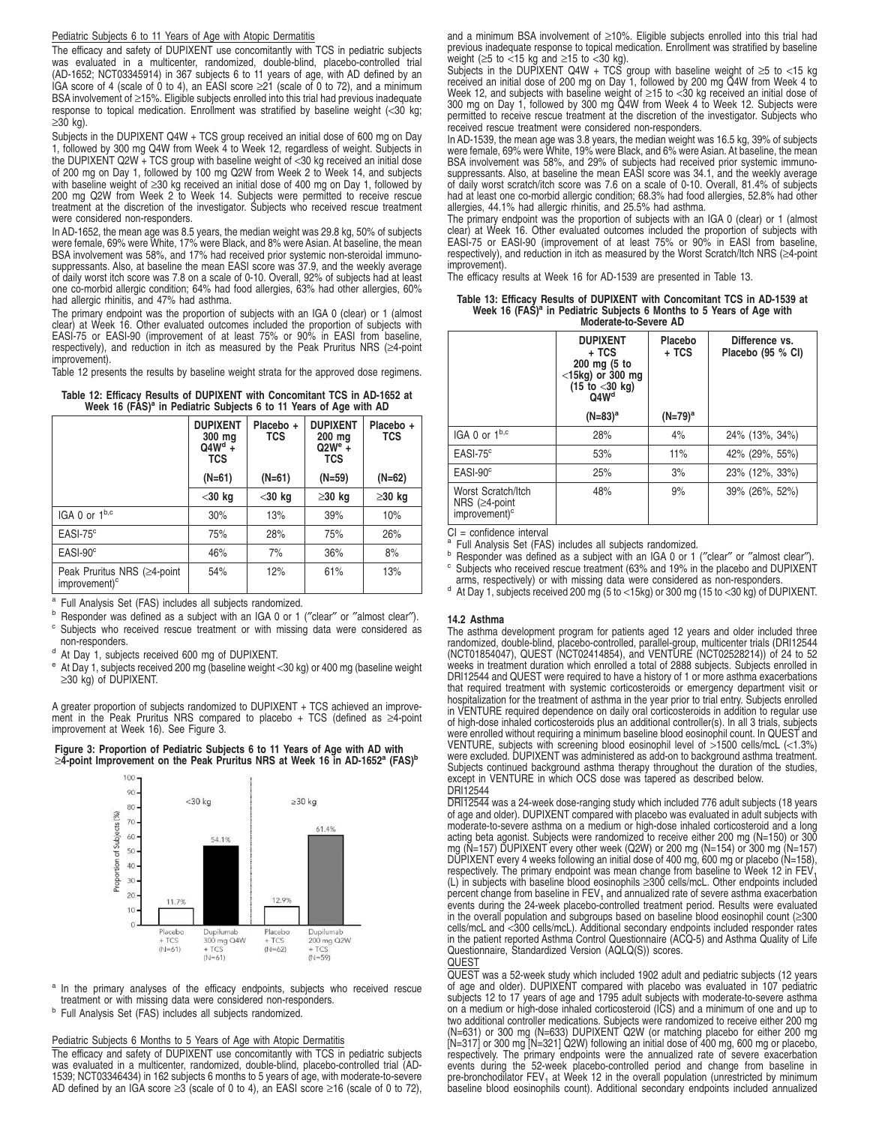#### Pediatric Subjects 6 to 11 Years of Age with Atopic Dermatitis

The efficacy and safety of DUPIXENT use concomitantly with TCS in pediatric subjects was evaluated in a multicenter, randomized, double-blind, placebo-controlled trial (AD-1652; NCT03345914) in 367 subjects 6 to 11 years of age, with AD defined by an IGA score of 4 (scale of 0 to 4), an EASI score ≥21 (scale of 0 to 72), and a minimum BSA involvement of ≥15%. Eligible subjects enrolled into this trial had previous inadequate response to topical medication. Enrollment was stratified by baseline weight (<30 kg; ≥30 kg).

Subjects in the DUPIXENT Q4W + TCS group received an initial dose of 600 mg on Day 1, followed by 300 mg Q4W from Week 4 to Week 12, regardless of weight. Subjects in the DUPIXENT Q2W  $+$  TCS group with baseline weight of <30 kg received an initial dose of 200 mg on Day 1, followed by 100 mg Q2W from Week 2 to Week 14, and subjects with baseline weight of ≥30 kg received an initial dose of 400 mg on Day 1, followed by<br>200 mg Q2W from Week 2 to Week 14. Subjects were permitted to receive rescue<br>treatment at the discretion of the investigator. Subject were considered non-responders.

In AD-1652, the mean age was 8.5 years, the median weight was 29.8 kg, 50% of subjects were female, 69% were White, 17% were Black, and 8% were Asian. At baseline, the mean BSA involvement was 58%, and 17% had received prior systemic non-steroidal immunosuppressants. Also, at baseline the mean EASI score was 37.9, and the weekly average of daily worst itch score was 7.8 on a scale of 0-10. Overall, 92% of subjects had at least one co-morbid allergic condition; 64% had food allergies, 63% had other allergies, 60% had allergic rhinitis, and 47% had asthma.

The primary endpoint was the proportion of subjects with an IGA 0 (clear) or 1 (almost clear) at Week 16. Other evaluated outcomes included the proportion of subjects with EASI-75 or EASI-90 (improvement of at least 75% or 90% in EASI from baseline, respectively), and reduction in itch as measured by the Peak Pruritus NRS (≥4-point improvement).

Table 12 presents the results by baseline weight strata for the approved dose regimens.

| Table 12: Efficacy Results of DUPIXENT with Concomitant TCS in AD-1652 at |                                                                               |  |  |
|---------------------------------------------------------------------------|-------------------------------------------------------------------------------|--|--|
|                                                                           | Week 16 (FAS) <sup>a</sup> in Pediatric Subjects 6 to 11 Years of Age with AD |  |  |

|                                                          | <b>DUPIXENT</b><br>300 ma<br>$Q4Wd +$<br><b>TCS</b> | Placebo +<br><b>TCS</b> | <b>DUPIXENT</b><br>200 mg<br>$Q2W^e +$<br><b>TCS</b> | Placebo +<br><b>TCS</b> |
|----------------------------------------------------------|-----------------------------------------------------|-------------------------|------------------------------------------------------|-------------------------|
|                                                          | $(N=61)$                                            | $(N=61)$                | $(N=59)$                                             | $(N=62)$                |
|                                                          | $<$ 30 kg                                           | $<$ 30 kg               | $\geq$ 30 kg                                         | $\geq$ 30 kg            |
| IGA 0 or 1b,c                                            | 30%                                                 | 13%                     | 39%                                                  | 10%                     |
| $EASI-75^{\circ}$                                        | 75%                                                 | 28%                     | 75%                                                  | 26%                     |
| $EASI-90^\circ$                                          | 46%                                                 | 7%                      | 36%                                                  | 8%                      |
| Peak Pruritus NRS (≥4-point<br>improvement) <sup>c</sup> | 54%                                                 | 12%                     | 61%                                                  | 13%                     |

<sup>a</sup> Full Analysis Set (FAS) includes all subjects randomized.

b Responder was defined as a subject with an IGA 0 or 1 ("clear" or "almost clear").

<sup>c</sup> Subjects who received rescue treatment or with missing data were considered as non-responders.

<sup>d</sup> At Day 1, subjects received 600 mg of DUPIXENT.

At Day 1, subjects received 200 mg (baseline weight <30 kg) or 400 mg (baseline weight ≥30 kg) of DUPIXENT.

A greater proportion of subjects randomized to DUPIXENT + TCS achieved an improve-ment in the Peak Pruritus NRS compared to placebo + TCS (defined as ≥4-point improvement at Week 16). See Figure 3.





<sup>a</sup> In the primary analyses of the efficacy endpoints, subjects who received rescue treatment or with missing data were considered non-responders.

<sup>b</sup> Full Analysis Set (FAS) includes all subjects randomized.

#### Pediatric Subjects 6 Months to 5 Years of Age with Atopic Dermatitis

The efficacy and safety of DUPIXENT use concomitantly with TCS in pediatric subjects was evaluated in a multicenter, randomized, double-blind, placebo-controlled trial (AD-1539; NCT03346434) in 162 subjects 6 months to 5 years of age, with moderate-to-severe AD defined by an IGA score ≥3 (scale of 0 to 4), an EASI score ≥16 (scale of 0 to 72), and a minimum BSA involvement of ≥10%. Eligible subjects enrolled into this trial had previous inadequate response to topical medication. Enrollment was stratified by baseline weight ( $\geq$ 5 to <15 kg and  $\geq$ 15 to <30 kg).

Subjects in the DUPIXENT Q4W + TCS group with baseline weight of  $\geq 5$  to <15 kg received an initial dose of 200 mg on Day 1, followed by 200 mg Q4W from Week 4 to<br>Week 12, and subjects with baseline weight of ≥15 to <30 kg received an initial dose of<br>300 mg on Day 1, followed by 300 mg Q4W from Week permitted to receive rescue treatment at the discretion of the investigator. Subjects who received rescue treatment were considered non-responders.

In AD-1539, the mean age was 3.8 years, the median weight was 16.5 kg, 39% of subjects<br>were female, 69% were White, 19% were Black, and 6% were Asian. At baseline, the mean<br>BSA involvement was 58%, and 29% of subjects had of daily worst scratch/itch score was 7.6 on a scale of 0-10. Overall, 81.4% of subjects had at least one co-morbid allergic condition; 68.3% had food allergies, 52.8% had other allergies, 44.1% had allergic rhinitis, and 25.5% had asthma.

The primary endpoint was the proportion of subjects with an IGA 0 (clear) or 1 (almost clear) at Week 16. Other evaluated outcomes included the proportion of subjects with EASI-75 or EASI-90 (improvement of at least 75% or 90% in EASI from baseline, respectively), and reduction in itch as measured by the Worst Scratch/Itch NRS (≥4-point improvement).

The efficacy results at Week 16 for AD-1539 are presented in Table 13.

#### **Table 13: Efficacy Results of DUPIXENT with Concomitant TCS in AD-1539 at Week 16 (FAS)<sup>a</sup> in Pediatric Subjects 6 Months to 5 Years of Age with Moderate-to-Severe AD**

|                                                                         | <b>DUPIXENT</b><br>+ TCS<br>200 mg (5 to<br>$<$ 15kg) or 300 mg<br>$(15 \text{ to } 30 \text{ kg})$<br>Q4W <sup>d</sup> | Placebo<br>$+TCS$ | Difference vs.<br>Placebo (95 % CI) |
|-------------------------------------------------------------------------|-------------------------------------------------------------------------------------------------------------------------|-------------------|-------------------------------------|
|                                                                         | $(N=83)^a$                                                                                                              | $(N=79)^a$        |                                     |
| $IGA$ 0 or $1^{b,c}$                                                    | 28%                                                                                                                     | 4%                | 24% (13%, 34%)                      |
| $EASI-75^{\circ}$                                                       | 53%                                                                                                                     | 11%               | 42% (29%, 55%)                      |
| $EASI-90^\circ$                                                         | 25%                                                                                                                     | 3%                | 23% (12%, 33%)                      |
| Worst Scratch/Itch<br>NRS ( $\geq$ 4-point<br>improvement) <sup>c</sup> | 48%                                                                                                                     | 9%                | 39% (26%, 52%)                      |

CI = confidence interval

a Full Analysis Set (FAS) includes all subjects randomized.

b Responder was defined as a subject with an IGA 0 or 1 ("clear" or "almost clear" c Subjects who received rescue treatment (63% and 19% in the placebo and DUPIXENT arms, respectively) or with missing data were considered as non-responders.

 $^{\text{d}}$  At Day 1, subjects received 200 mg (5 to <15kg) or 300 mg (15 to <30 kg) of DUPIXENT.

#### **14.2 Asthma**

The asthma development program for patients aged 12 years and older included three<br>randomized, double-blind, placebo-controlled, parallel-group, multicenter trials (DR112544<br>(NCT01854047), QUEST (NCT02414854), and VENTURE that required treatment with systemic corticosteroids or emergency department visit or hospitalization for the treatment of asthma in the year prior to trial entry. Subjects enrolled in VENTURE required dependence on daily oral corticosteroids in addition to regular use of high-dose inhaled corticosteroids plus an additional controller(s). In all 3 trials, subjects were enrolled without requiring a minimum baseline blood eosinophil count. In QUEST and VENTURE, subjects with screening blood eosinophil level of >1500 cells/mcL (<1.3%) were excluded. DUPIXENT was administered as add-on to background asthma treatment. Subjects continued background asthma therapy throughout the duration of the studies, except in VENTURE in which OCS dose was tapered as described below. DRI12544

DRI12544 was a 24-week dose-ranging study which included 776 adult subjects (18 years of age and older). DUPIXENT compared with placebo was evaluated in adult subjects with moderate-to-severe asthma on a medium or high-dose inhaled corticosteroid and a long acting beta agonist. Subjects were randomized to receive either 200 mg (N=150) or 300 mg (N=157) DUPIXENT every other week (Q2W) or 200 mg (N=154) or 300 mg (N=157)<br>DUPIXENT every 4 weeks following an initial dose of 400 mg, 600 mg or placebo (N=158),<br>respectively. The primary endpoint was mean change from percent change from baseline in FEV<sub>1</sub> and annualized rate of severe asthma exacerbation<br>events during the 24-week placebo-controlled treatment period. Results were evaluated in the overall population and subgroups based on baseline blood eosinophil count (≥300 cells/mcL and <300 cells/mcL). Additional secondary endpoints included responder rates<br>in the patient reported Asthma Control Questionnaire (ACQ-5) and Asthma Quality of Life Questionnaire, Standardized Version (AQLQ(S)) scores. QUEST

QUEST was a 52-week study which included 1902 adult and pediatric subjects (12 years of age and older). DUPIXENT compared with placebo was evaluated in 107 pediatric subjects 12 to 17 years of age and 1795 adult subjects with moderate-to-severe asthma on a medium or high-dose inhaled corticosteroid (ICS) and a minimum of one and up to two additional controller medications. Subjects were randomized to receive either 200 mg<br>(N=631) or 300 mg (N=633) DUPIXENT Q2W (or matching placebo for either 200 mg<br>[N=317] or 300 mg [N=321] Q2W) following an initial dos respectively. The primary endpoints were the annualized rate of severe exacerbation<br>events during the 52-week placebo-controlled period and change from baseline in<br>pre-bronchodilator FEV<sub>1</sub> at Week 12 in the overall popula baseline blood eosinophils count). Additional secondary endpoints included annualized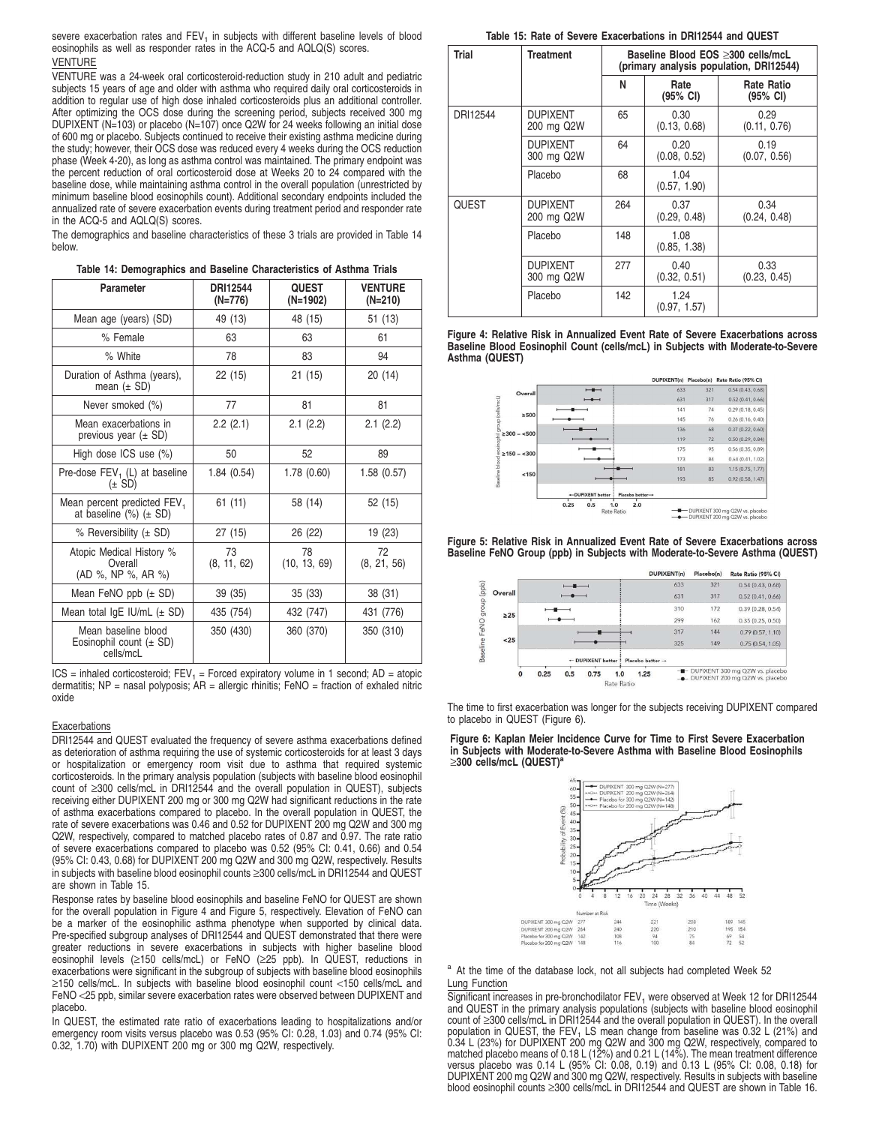severe exacerbation rates and  $FEV<sub>1</sub>$  in subjects with different baseline levels of blood eosinophils as well as responder rates in the ACQ-5 and AQLQ(S) scores. VENTURE

VENTURE was a 24-week oral corticosteroid-reduction study in 210 adult and pediatric subjects 15 years of age and older with asthma who required daily oral corticosteroids in addition to regular use of high dose inhaled corticosteroids plus an additional controller. After optimizing the OCS dose during the screening period, subjects received 300 mg DUPIXENT (N=103) or placebo (N=107) once Q2W for 24 weeks following an initial dose of 600 mg or placebo. Subjects continued to receive their existing asthma medicine during the study; however, their OCS dose was reduced every 4 weeks during the OCS reduction phase (Week 4-20), as long as asthma control was maintained. The primary endpoint was the percent reduction of oral corticosteroid dose at Weeks 20 to 24 compared with the baseline dose, while maintaining asthma control in the overall population (unrestricted by minimum baseline blood eosinophils count). Additional secondary endpoints included the annualized rate of severe exacerbation events during treatment period and responder rate in the ACQ-5 and AQLQ(S) scores.

The demographics and baseline characteristics of these 3 trials are provided in Table 14 below.

|  |  |  |  | Table 14: Demographics and Baseline Characteristics of Asthma Trials |  |  |  |
|--|--|--|--|----------------------------------------------------------------------|--|--|--|
|--|--|--|--|----------------------------------------------------------------------|--|--|--|

| Parameter                                                                 | DRI12544<br>(N=776) | <b>QUEST</b><br>(N=1902) | <b>VENTURE</b><br>(N=210) |
|---------------------------------------------------------------------------|---------------------|--------------------------|---------------------------|
| Mean age (years) (SD)                                                     | 49 (13)             | 48 (15)                  | 51 (13)                   |
| % Female                                                                  | 63                  | 63                       | 61                        |
| % White                                                                   | 78                  | 83                       | 94                        |
| Duration of Asthma (years),<br>mean $(\pm SD)$                            | 22 (15)             | 21(15)                   | 20(14)                    |
| Never smoked (%)                                                          | 77                  | 81                       | 81                        |
| Mean exacerbations in<br>previous year $(\pm SD)$                         | 2.2(2.1)            | 2.1(2.2)                 | 2.1(2.2)                  |
| High dose ICS use (%)                                                     | 50                  | 52                       | 89                        |
| Pre-dose FEV <sub>1</sub> (L) at baseline<br>$(\pm$ SD)                   | 1.84(0.54)          | 1.78(0.60)               | 1.58(0.57)                |
| Mean percent predicted FEV <sub>1</sub><br>at baseline $(\%)$ ( $\pm$ SD) | 61 (11)             | 58 (14)                  | 52 (15)                   |
| % Reversibility $(\pm SD)$                                                | 27 (15)             | 26 (22)                  | 19 (23)                   |
| Atopic Medical History %<br>Overall<br>(AD %, NP %, AR %)                 | 73<br>(8, 11, 62)   | 78<br>(10, 13, 69)       | 72<br>(8, 21, 56)         |
| Mean FeNO ppb (± SD)                                                      | 39 (35)             | 35 (33)                  | 38 (31)                   |
| Mean total $lgE$ IU/mL $(\pm$ SD)                                         | 435 (754)           | 432 (747)                | 431 (776)                 |
| Mean baseline blood<br>Eosinophil count $(\pm SD)$<br>cells/mcL           | 350 (430)           | 360 (370)                | 350 (310)                 |

 $ICS =$  inhaled corticosteroid;  $FEV_1 =$  Forced expiratory volume in 1 second; AD = atopic dermatitis; NP = nasal polyposis; AR = allergic rhinitis; FeNO = fraction of exhaled nitric oxide

#### Exacerbations

DRI12544 and QUEST evaluated the frequency of severe asthma exacerbations defined as deterioration of asthma requiring the use of systemic corticosteroids for at least 3 days or hospitalization or emergency room visit due to asthma that required systemic corticosteroids. In the primary analysis population (subjects with baseline blood eosinophil count of ≥300 cells/mcL in DRI12544 and the overall population in QUEST), subjects receiving either DUPIXENT 200 mg or 300 mg Q2W had significant reductions in the rate of asthma exacerbations compared to placebo. In the overall population in QUEST, the rate of severe exacerbations was 0.46 and 0.52 for DUPIXENT 200 mg Q2W and 300 mg Q2W, respectively, compared to matched placebo rates of 0.87 and 0.97. The rate ratio of severe exacerbations compared to placebo was 0.52 (95% CI: 0.41, 0.66) and 0.54 (95% CI: 0.43, 0.68) for DUPIXENT 200 mg Q2W and 300 mg Q2W, respectively. Results in subjects with baseline blood eosinophil counts ≥300 cells/mcL in DRI12544 and QUEST are shown in Table 15.

Response rates by baseline blood eosinophils and baseline FeNO for QUEST are shown for the overall population in Figure 4 and Figure 5, respectively. Elevation of FeNO can be a marker of the eosinophilic asthma phenotype when supported by clinical data. Pre-specified subgroup analyses of DRI12544 and QUEST demonstrated that there were greater reductions in severe exacerbations in subjects with higher baseline blood eosinophil levels (≥150 cells/mcL) or FeNO (≥25 ppb). In QUEST, reductions in exacerbations were significant in the subgroup of subjects with baseline blood eosinophils ≥150 cells/mcL. In subjects with baseline blood eosinophil count <150 cells/mcL and FeNO <25 ppb, similar severe exacerbation rates were observed between DUPIXENT and placebo.

In QUEST, the estimated rate ratio of exacerbations leading to hospitalizations and/or emergency room visits versus placebo was 0.53 (95% CI: 0.28, 1.03) and 0.74 (95% CI: 0.32, 1.70) with DUPIXENT 200 mg or 300 mg Q2W, respectively.

**Table 15: Rate of Severe Exacerbations in DRI12544 and QUEST**

| Trial    | <b>Treatment</b>              | Baseline Blood EOS >300 cells/mcL<br>(primary analysis population, DRI12544) |                      |                               |  |  |
|----------|-------------------------------|------------------------------------------------------------------------------|----------------------|-------------------------------|--|--|
|          |                               | N                                                                            | Rate<br>(95% CI)     | <b>Rate Ratio</b><br>(95% CI) |  |  |
| DRI12544 | <b>DUPIXENT</b><br>200 mg Q2W | 65                                                                           | 0.30<br>(0.13, 0.68) | 0.29<br>(0.11, 0.76)          |  |  |
|          | <b>DUPIXENT</b><br>300 mg Q2W | 64                                                                           | 0.20<br>(0.08, 0.52) | 0.19<br>(0.07, 0.56)          |  |  |
|          | Placebo                       | 68                                                                           | 1.04<br>(0.57, 1.90) |                               |  |  |
| QUEST    | <b>DUPIXENT</b><br>200 mg Q2W | 264                                                                          | 0.37<br>(0.29, 0.48) | 0.34<br>(0.24, 0.48)          |  |  |
|          | Placebo                       | 148                                                                          | 1.08<br>(0.85, 1.38) |                               |  |  |
|          | <b>DUPIXENT</b><br>300 mg Q2W | 277                                                                          | 0.40<br>(0.32, 0.51) | 0.33<br>(0.23, 0.45)          |  |  |
|          | Placebo                       | 142                                                                          | 1.24<br>(0.97, 1.57) |                               |  |  |

**Figure 4: Relative Risk in Annualized Event Rate of Severe Exacerbations across Baseline Blood Eosinophil Count (cells/mcL) in Subjects with Moderate-to-Severe Asthma (QUEST)**



**Figure 5: Relative Risk in Annualized Event Rate of Severe Exacerbations across Baseline FeNO Group (ppb) in Subjects with Moderate-to-Severe Asthma (QUEST)**



The time to first exacerbation was longer for the subjects receiving DUPIXENT compared to placebo in QUEST (Figure 6).

**Figure 6: Kaplan Meier Incidence Curve for Time to First Severe Exacerbation in Subjects with Moderate-to-Severe Asthma with Baseline Blood Eosinophils** ≥**300 cells/mcL (QUEST)<sup>a</sup>**



<sup>a</sup> At the time of the database lock, not all subjects had completed Week 52 Lung Function

Significant increases in pre-bronchodilator FEV<sub>1</sub> were observed at Week 12 for DRI12544 and QUEST in the primary analysis populations (subjects with baseline blood eosinophil count of ≥300 cells/mcL in DRI12544 and the overall population in QUEST). In the overall population in QUEST, the FEV<sub>1</sub> LS mean change from baseline was 0.32 L (21%) and<br>0.34 L (23%) for DUPIXENT 200 mg Q2W and 300 mg Q2W, respectively, compared to matched placebo means of 0.18 L (12%) and 0.21 L (14%). The mean treatment difference versus placebo was 0.14 L (95% CI: 0.08, 0.19) and 0.13 L (95% CI: 0.08, 0.18) for DUPIXENT 200 mg Q2W and 300 mg Q2W, respectively. Results in subjects with baseline blood eosinophil counts ≥300 cells/mcL in DRI12544 and QUEST are shown in Table 16.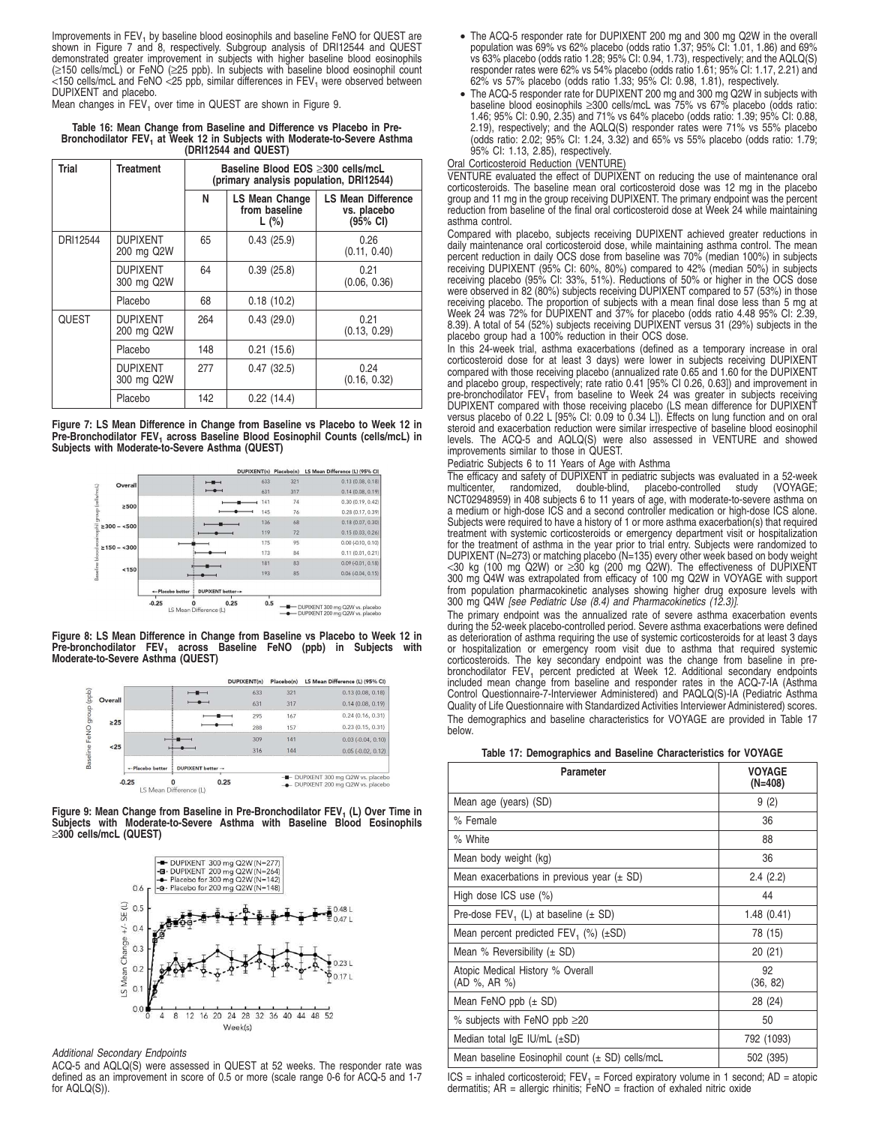Improvements in FEV<sub>1</sub> by baseline blood eosinophils and baseline FeNO for QUEST are shown in Figure 7 and 8, respectively. Subgroup analysis of DRI12544 and QUEST demonstrated greater improvement in subjects with higher baseline blood eosinophils (≥150 cells/mcL) or FeNO (≥25 ppb). In subjects with baseline blood eosinophil count  $150$  cells/mcL and FeNO  $25$  ppb, similar differences in FEV<sub>1</sub> were observed between DUPIXENT and placebo.

Mean changes in  $\mathsf{FEV}_1$  over time in QUEST are shown in Figure 9.

**Table 16: Mean Change from Baseline and Difference vs Placebo in Pre-**Bronchodilator FEV<sub>1</sub> at Week 12 in Subjects with Moderate-to-Severe Asthma **(DRI12544 and QUEST)**

| Trial        | <b>Treatment</b>              | Baseline Blood EOS ≥300 cells/mcL<br>(primary analysis population, DRI12544) |                                                 |                                                      |  |  |  |
|--------------|-------------------------------|------------------------------------------------------------------------------|-------------------------------------------------|------------------------------------------------------|--|--|--|
|              |                               | N                                                                            | <b>LS Mean Change</b><br>from baseline<br>L (%) | <b>LS Mean Difference</b><br>vs. placebo<br>(95% CI) |  |  |  |
| DRI12544     | <b>DUPIXENT</b><br>200 mg Q2W | 65                                                                           | 0.43(25.9)                                      | 0.26<br>(0.11, 0.40)                                 |  |  |  |
|              | <b>DUPIXENT</b><br>300 mg Q2W | 64                                                                           | 0.39(25.8)                                      | 0.21<br>(0.06, 0.36)                                 |  |  |  |
|              | Placebo                       | 68                                                                           | 0.18(10.2)                                      |                                                      |  |  |  |
| <b>QUEST</b> | <b>DUPIXENT</b><br>200 mg Q2W | 264                                                                          | 0.43(29.0)                                      | 0.21<br>(0.13, 0.29)                                 |  |  |  |
|              | Placebo                       | 148                                                                          | 0.21(15.6)                                      |                                                      |  |  |  |
|              | <b>DUPIXENT</b><br>300 mg Q2W | 277                                                                          | 0.47(32.5)                                      | 0.24<br>(0.16, 0.32)                                 |  |  |  |
|              | Placebo                       | 142                                                                          | 0.22(14.4)                                      |                                                      |  |  |  |

**Figure 7: LS Mean Difference in Change from Baseline vs Placebo to Week 12 in Pre-Bronchodilator FEV<sup>1</sup> across Baseline Blood Eosinophil Counts (cells/mcL) in Subjects with Moderate-to-Severe Asthma (QUEST)**



**Figure 8: LS Mean Difference in Change from Baseline vs Placebo to Week 12 in Pre-bronchodilator FEV<sup>1</sup> across Baseline FeNO (ppb) in Subjects with Moderate-to-Severe Asthma (QUEST)**

|           |                 |                          | DUPIXENT(n) | Placebo(n) | LS Mean Difference (L) (95% CI)                                        |
|-----------|-----------------|--------------------------|-------------|------------|------------------------------------------------------------------------|
|           |                 |                          | 633         | 321        | 0.13(0.08, 0.18)                                                       |
| Overall   |                 |                          | 631         | 317        | 0.14(0.08, 0.19)                                                       |
|           |                 |                          | 295         | 167        | 0.24(0.16, 0.31)                                                       |
| $\geq 25$ |                 |                          | 288         | 157        | 0.23(0.15, 0.31)                                                       |
|           |                 |                          | 309         | 141        | $0.03$ $(-0.04, 0.10)$                                                 |
| $25$      |                 |                          | 316         | 144        | $0.05(-0.02, 0.12)$                                                    |
|           | -Placebo better | <b>DUPIXENT better →</b> |             |            |                                                                        |
|           | $-0.25$         | S Mean Difference (L)    | 0.25        |            | - DUPIXENT 300 mg Q2W vs. placebo<br>- DUPIXENT 200 mg Q2W vs. placebo |

**Figure 9: Mean Change from Baseline in Pre-Bronchodilator FEV<sup>1</sup> (L) Over Time in Subjects with Moderate-to-Severe Asthma with Baseline Blood Eosinophils** ≥**300 cells/mcL (QUEST)**



Additional Secondary Endpoints

ACQ-5 and AQLQ(S) were assessed in QUEST at 52 weeks. The responder rate was defined as an improvement in score of 0.5 or more (scale range 0-6 for ACQ-5 and 1-7 for AQLQ(S)).

- The ACQ-5 responder rate for DUPIXENT 200 mg and 300 mg Q2W in the overall population was 69% vs 62% placebo (odds ratio 1.37; 95% CI: 1.01, 1.86) and 69% vs 63% placebo (odds ratio 1.28; 95% CI: 0.94, 1.73), respectively; and the AQLQ(S) responder rates were 62% vs 54% placebo (odds ratio 1.61; 95% CI: 1.17, 2.21) and 62% vs 57% placebo (odds ratio 1.33; 95% CI: 0.98, 1.81), respectively.
- The ACQ-5 responder rate for DUPIXENT 200 mg and 300 mg Q2W in subjects with baseline blood eosinophils ≥300 cells/mcL was 75% vs 67% placebo (odds ratio: 1.46; 95% CI: 0.90, 2.35) and 71% vs 64% placebo (odds ratio: 1.39; 95% CI: 0.88, 2.19), respectively; and the AQLQ(S) responder rates were 71% vs 55% placebo (odds ratio: 2.02; 95% CI: 1.24, 3.32) and 65% vs 55% placebo (odds ratio: 1.79; 95% CI: 1.13, 2.85), respectively.

# Oral Corticosteroid Reduction (VENTURE)

VENTURE evaluated the effect of DUPIXENT on reducing the use of maintenance oral corticosteroids. The baseline mean oral corticosteroid dose was 12 mg in the placebo group and 11 mg in the group receiving DUPIXENT. The primary endpoint was the percent reduction from baseline of the final oral corticosteroid dose at Week 24 while maintaining asthma control.

Compared with placebo, subjects receiving DUPIXENT achieved greater reductions in daily maintenance oral corticosteroid dose, while maintaining asthma control. The mean percent reduction in daily OCS dose from baseline was 70% (median 100%) in subjects receiving DUPIXENT (95% CI: 60%, 80%) compared to 42% (median 50%) in subjects receiving placebo (95% CI: 33%, 51%). Reductions of 50% or higher in the OCS dose were observed in 82 (80%) subjects receiving DUPIXENT compared to 57 (53%) in those receiving placebo. The proportion of subjects with a mean final dose less than 5 mg at Week 24 was 72% for DUPIXENT and 37% for placebo (odds ratio 4.48 95% CI: 2.39, 8.39). A total of 54 (52%) subjects receiving DUPIXENT versus 31 (29%) subjects in the placebo group had a 100% reduction in their OCS dose.

In this 24-week trial, asthma exacerbations (defined as a temporary increase in oral corticosteroid dose for at least 3 days) were lower in subjects receiving DUPIXENT compared with those receiving placebo (annualized rate 0.65 and 1.60 for the DUPIXENT and placebo group, respectively; rate ratio 0.41 [95% CI 0.26, 0.63]) and improvement in<br>pre-bronchodilator FEV<sub>1</sub> from baseline to Week 24 was greater in subjects receiving DUPIXENT compared with those receiving placebo (LS mean difference for DUPIXENT versus placebo of 0.22 L [95% CI: 0.09 to 0.34 L]). Effects on lung function and on oral steroid and exacerbation reduction were similar irrespective of baseline blood eosinophil levels. The ACQ-5 and AQLQ(S) were also assessed in VENTURE and showed improvements similar to those in QUEST.

#### Pediatric Subjects 6 to 11 Years of Age with Asthma

The efficacy and safety of DUPIXENT in pediatric subjects was evaluated in a 52-week multicenter, randomized, double-blind, placebo-controlled study (VOYAGE; NCT02948959) in 408 subjects 6 to 11 years of age, with moderate-to-severe asthma on a medium or high-dose ICS and a second controller medication or high-dose ICS alone. Subjects were required to have a history of 1 or more asthma exacerbation(s) that required treatment with systemic corticosteroids or emergency department visit or hospitalization for the treatment of asthma in the year prior to trial entry. Subjects were randomized to DUPIXENT (N=273) or matching placebo (N=135) every other week based on body weight <30 kg (100 mg Q2W) or ≥30 kg (200 mg Q2W). The effectiveness of DUPIXENT 300 mg Q4W was extrapolated from efficacy of 100 mg Q2W in VOYAGE with support from population pharmacokinetic analyses showing higher drug exposure levels with<br>300 mg Q4W *[see Pediatric Use (8.4) and Pharmacokinetics (12.3)]*.

The primary endpoint was the annualized rate of severe asthma exacerbation events during the 52-week placebo-controlled period. Severe asthma exacerbations were defined as deterioration of asthma requiring the use of systemic corticosteroids for at least 3 days or hospitalization or emergency room visit due to asthma that required systemic corticosteroids. The key secondary endpoint was the change from baseline in prebronchodilator FEV<sub>1</sub> percent predicted at Week 12. Additional secondary endpoints included mean change from baseline and responder rates in the ACQ-7-IA (Asthma Control Questionnaire-7-Interviewer Administered) and PAQLQ(S)-IA (Pediatric Asthma Quality of Life Questionnaire with Standardized Activities Interviewer Administered) scores. The demographics and baseline characteristics for VOYAGE are provided in Table 17 below.

| <b>Parameter</b>                                    | <b>VOYAGE</b><br>(N=408) |
|-----------------------------------------------------|--------------------------|
| Mean age (years) (SD)                               | 9(2)                     |
| % Female                                            | 36                       |
| % White                                             | 88                       |
| Mean body weight (kg)                               | 36                       |
| Mean exacerbations in previous year $(\pm SD)$      | 2.4(2.2)                 |
| High dose $ICS$ use $(\%)$                          | 44                       |
| Pre-dose $FEV_1$ (L) at baseline ( $\pm$ SD)        | 1.48(0.41)               |
| Mean percent predicted $FEV_1$ (%) ( $\pm SD$ )     | 78 (15)                  |
| Mean % Reversibility $(\pm SD)$                     | 20(21)                   |
| Atopic Medical History % Overall<br>(AD %, AR %)    | 92<br>(36, 82)           |
| Mean FeNO ppb $(\pm$ SD)                            | 28 (24)                  |
| % subjects with FeNO ppb $\geq$ 20                  | 50                       |
| Median total $lgE$ IU/mL $(\pm SD)$                 | 792 (1093)               |
| Mean baseline Eosinophil count $(\pm$ SD) cells/mcL | 502 (395)                |

ICS = inhaled corticosteroid; FEV<sub>1</sub> = Forced expiratory volume in 1 second; AD = atopic<br>dermatitis; AR = allergic rhinitis; FeNO = fraction of exhaled nitric oxide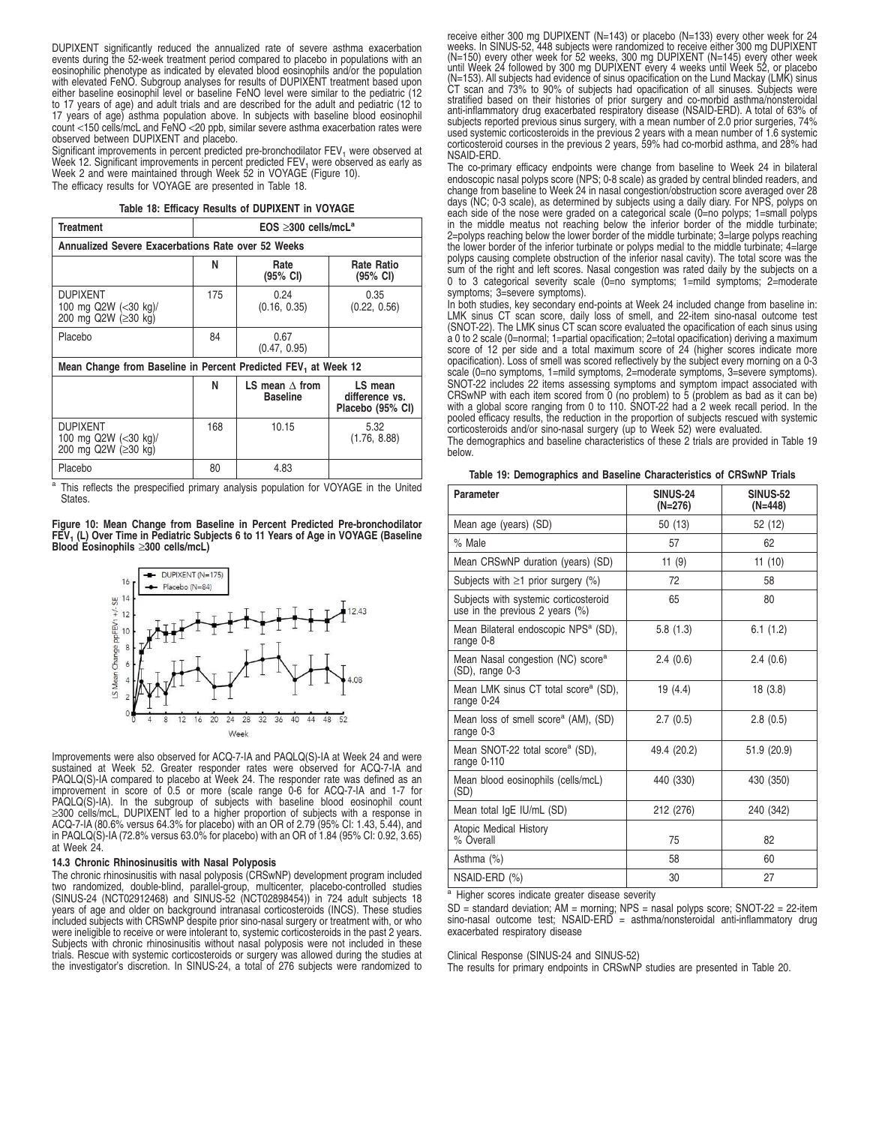DUPIXENT significantly reduced the annualized rate of severe asthma exacerbation events during the 52-week treatment period compared to placebo in populations with an eosinophilic phenotype as indicated by elevated blood eosinophils and/or the population with elevated FeNO. Subgroup analyses for results of DUPIXENT treatment based upon either baseline eosinophil level or baseline FeNO level were similar to the pediatric (12 to 17 years of age) and adult trials and are described for the adult and pediatric (12 to 17 years of age) asthma population above. In subjects with baseline blood eosinophil count <150 cells/mcL and FeNO <20 ppb, similar severe asthma exacerbation rates were observed between DUPIXENT and placebo.

Significant improvements in percent predicted pre-bronchodilator  $FEV<sub>1</sub>$  were observed at Week 12. Significant improvements in percent predicted FEV<sub>1</sub> were observed as early as<br>Week 2 and were maintained through Week 52 in VOYAGE (Figure 10). The efficacy results for VOYAGE are presented in Table 18.

#### **Table 18: Efficacy Results of DUPIXENT in VOYAGE**

| Treatment                                                                                      | $EOS \geq 300$ cells/mcL <sup>a</sup> |                      |                                  |  |  |  |  |
|------------------------------------------------------------------------------------------------|---------------------------------------|----------------------|----------------------------------|--|--|--|--|
| Annualized Severe Exacerbations Rate over 52 Weeks                                             |                                       |                      |                                  |  |  |  |  |
|                                                                                                | N                                     | Rate<br>(95% CI)     | Rate Ratio<br>$(95% \text{ Cl})$ |  |  |  |  |
| <b>DUPIXENT</b><br>100 mg Q2W (<30 kg)/<br>200 mg Q2W (≥30 kg)                                 | 175                                   | 0.24<br>(0.16, 0.35) | 0.35<br>(0.22, 0.56)             |  |  |  |  |
| Placebo                                                                                        | 84                                    | 0.67<br>(0.47, 0.95) |                                  |  |  |  |  |
| Mean Change from Baseline in Percent Predicted FEV, at Week 12                                 |                                       |                      |                                  |  |  |  |  |
| N<br>LS mean<br>LS mean $\wedge$ from<br><b>Baseline</b><br>difference vs.<br>Placebo (95% CI) |                                       |                      |                                  |  |  |  |  |
| <b>DUPIXENT</b><br>100 mg Q2W (<30 kg)/<br>200 mg Q2W (≥30 kg)                                 | 168                                   | 10.15                | 5.32<br>(1.76, 8.88)             |  |  |  |  |

a This reflects the prespecified primary analysis population for VOYAGE in the United States.

Placebo 1 80 4.83

**Figure 10: Mean Change from Baseline in Percent Predicted Pre-bronchodilator FEV<sup>1</sup> (L) Over Time in Pediatric Subjects 6 to 11 Years of Age in VOYAGE (Baseline Blood Eosinophils** ≥**300 cells/mcL)**



Improvements were also observed for ACQ-7-IA and PAQLQ(S)-IA at Week 24 and were sustained at Week 52. Greater responder rates were observed for ACQ-7-IA and PAQLQ(S)-IA compared to placebo at Week 24. The responder rate was defined as an improvement in score of 0.5 or more (scale range 0-6 for ACQ-7-IA and 1-7 for<br>PAQLQ(S)-IA). In the subgroup of subjects with baseline blood eosinophil count<br>≥300 cells/mcL, DUPIXENT led to a higher proportion of subjects ACQ-7-IA (80.6% versus 64.3% for placebo) with an OR of 2.79 (95% CI: 1.43, 5.44), and in PAQLQ(S)-IA (72.8% versus 63.0% for placebo) with an OR of 1.84 (95% CI: 0.92, 3.65) at Week 24.

#### **14.3 Chronic Rhinosinusitis with Nasal Polyposis**

The chronic rhinosinusitis with nasal polyposis (CRSwNP) development program included two randomized, double-blind, parallel-group, multicenter, placebo-controlled studies (SINUS-24 (NCT02912468) and SINUS-52 (NCT02898454)) in 724 adult subjects 18 years of age and older on background intranasal corticosteroids (INCS). These studies included subjects with CRSwNP despite prior sino-nasal surgery or treatment with, or who were ineligible to receive or were intolerant to, systemic corticosteroids in the past 2 years. Subjects with chronic rhinosinusitis without nasal polyposis were not included in these trials. Rescue with systemic corticosteroids or surgery was allowed during the studies at the investigator's discretion. In SINUS-24, a total of 276 subjects were randomized to

receive either 300 mg DUPIXENT (N=143) or placebo (N=133) every other week for 24<br>weeks. In SINUS-52, 448 subjects were randomized to receive either 300 mg DUPIXENT<br>(N=150) every other week for 52 weeks, 300 mg DUPIXENT ( (N=153). All subjects had evidence of sinus opacification on the Lund Mackay (LMK) sinus CT scan and 73% to 90% of subjects had opacification of all sinuses. Subjects were stratified based on their histories of prior surgery and co-morbid asthma/nonsteroidal anti-inflammatory drug exacerbated respiratory disease (NSAID-ERD). A total of 63% of subjects reported previous sinus surgery, with a mean number of 2.0 prior surgeries, 74% used systemic corticosteroids in the previous 2 years with a mean number of 1.6 systemic corticosteroid courses in the previous 2 years, 59% had co-morbid asthma, and 28% had NSAID-ERD.

The co-primary efficacy endpoints were change from baseline to Week 24 in bilateral endoscopic nasal polyps score (NPS; 0-8 scale) as graded by central blinded readers, and change from baseline to Week 24 in nasal congestion/obstruction score averaged over 28 days (NC; 0-3 scale), as determined by subjects using a daily diary. For NPS, polyps on each side of the nose were graded on a categorical scale (0=no polyps; 1=small polyps in the middle meatus not reaching below the inferior border of the middle turbinate; 2=polyps reaching below the lower border of the middle turbinate; 3=large polyps reaching the lower border of the inferior turbinate or polyps medial to the middle turbinate; 4=large polyps causing complete obstruction of the inferior nasal cavity). The total score was the sum of the right and left scores. Nasal congestion was rated daily by the subjects on a 0 to 3 categorical severity scale (0=no symptoms; 1=mild symptoms; 2=moderate symptoms; 3=severe symptoms).

In both studies, key secondary end-points at Week 24 included change from baseline in: LMK sinus CT scan score, daily loss of smell, and 22-item sino-nasal outcome test (SNOT-22). The LMK sinus CT scan score evaluated the opacification of each sinus using a 0 to 2 scale (0=normal; 1=partial opacification; 2=total opacification) deriving a maximum score of 12 per side and a total maximum score of 24 (higher scores indicate more opacification). Loss of smell was scored reflectively by the subject every morning on a 0-3 scale (0=no symptoms, 1=mild symptoms, 2=moderate symptoms, 3=severe symptoms). SNOT-22 includes 22 items assessing symptoms and symptom impact associated with CRSwNP with each item scored from 0 (no problem) to 5 (problem as bad as it can be) with a global score ranging from 0 to 110. SNOT-22 had a 2 week recall period. In the pooled efficacy results, the reduction in the proportion of subjects rescued with systemic corticosteroids and/or sino-nasal surgery (up to Week 52) were evaluated.

The demographics and baseline characteristics of these 2 trials are provided in Table 19 below.

|  |  |  | Table 19: Demographics and Baseline Characteristics of CRSwNP Trials |  |  |
|--|--|--|----------------------------------------------------------------------|--|--|
|  |  |  |                                                                      |  |  |

| <b>Parameter</b>                                                            | SINUS-24<br>(N=276) | <b>SINUS-52</b><br>(N=448) |
|-----------------------------------------------------------------------------|---------------------|----------------------------|
| Mean age (years) (SD)                                                       | 50 (13)             | 52 (12)                    |
| % Male                                                                      | 57                  | 62                         |
| Mean CRSwNP duration (years) (SD)                                           | 11 $(9)$            | 11(10)                     |
| Subjects with $\geq 1$ prior surgery (%)                                    | 72                  | 58                         |
| Subjects with systemic corticosteroid<br>use in the previous 2 years $(\%)$ | 65                  | 80                         |
| Mean Bilateral endoscopic NPS <sup>a</sup> (SD),<br>range 0-8               | 5.8(1.3)            | 6.1(1.2)                   |
| Mean Nasal congestion (NC) score <sup>a</sup><br>$(SD)$ , range $0-3$       | 2.4(0.6)            | 2.4(0.6)                   |
| Mean LMK sinus CT total score <sup>a</sup> (SD),<br>range 0-24              | 19(4.4)             | 18(3.8)                    |
| Mean loss of smell score <sup>a</sup> (AM), (SD)<br>range 0-3               | 2.7(0.5)            | 2.8(0.5)                   |
| Mean SNOT-22 total score <sup>a</sup> (SD),<br>range 0-110                  | 49.4 (20.2)         | 51.9 (20.9)                |
| Mean blood eosinophils (cells/mcL)<br>(SD)                                  | 440 (330)           | 430 (350)                  |
| Mean total IgE IU/mL (SD)                                                   | 212 (276)           | 240 (342)                  |
| <b>Atopic Medical History</b><br>% Overall                                  | 75                  | 82                         |
| Asthma (%)                                                                  | 58                  | 60                         |
| NSAID-ERD (%)                                                               | 30                  | 27                         |

a Higher scores indicate greater disease severity

SD = standard deviation; AM = morning; NPS = nasal polyps score; SNOT-22 = 22-item sino-nasal outcome test; NSAID-ERD = asthma/nonsteroidal anti-inflammatory drug exacerbated respiratory disease

Clinical Response (SINUS-24 and SINUS-52)

The results for primary endpoints in CRSwNP studies are presented in Table 20.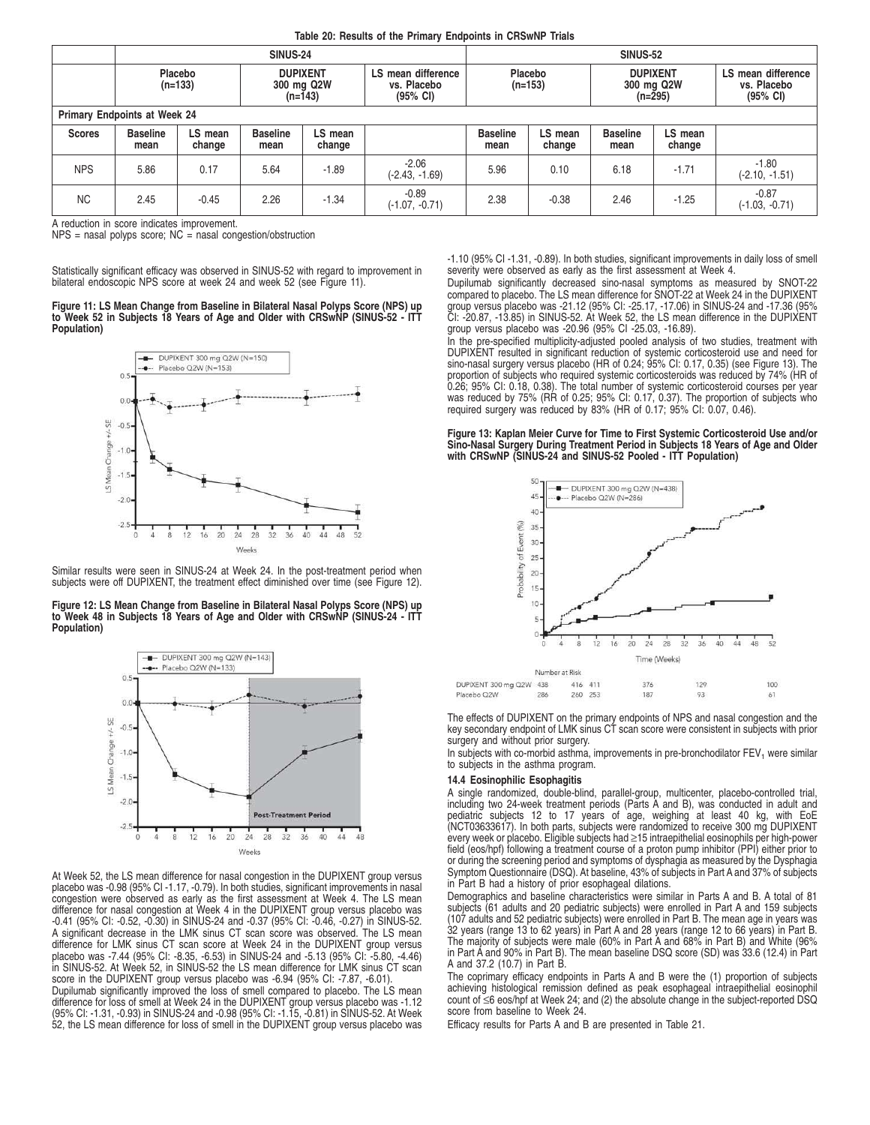|  | Table 20: Results of the Primary Endpoints in CRSwNP Trials |
|--|-------------------------------------------------------------|
|--|-------------------------------------------------------------|

|                              | <b>SINUS-24</b>         |                      |                         |                                                                                                                                |                             |                         | <b>SINUS-52</b>                            |                         |                                                         |                             |  |
|------------------------------|-------------------------|----------------------|-------------------------|--------------------------------------------------------------------------------------------------------------------------------|-----------------------------|-------------------------|--------------------------------------------|-------------------------|---------------------------------------------------------|-----------------------------|--|
|                              |                         | Placebo<br>$(n=133)$ |                         | Placebo<br><b>DUPIXENT</b><br>LS mean difference<br>$(n=153)$<br>300 mg Q2W<br>vs. Placebo<br>$(95\% \text{ Cl})$<br>$(n=143)$ |                             |                         | <b>DUPIXENT</b><br>300 mg Q2W<br>$(n=295)$ |                         | LS mean difference<br>vs. Placebo<br>$(95% \text{ Cl})$ |                             |  |
| Primary Endpoints at Week 24 |                         |                      |                         |                                                                                                                                |                             |                         |                                            |                         |                                                         |                             |  |
| <b>Scores</b>                | <b>Baseline</b><br>mean | LS mean<br>change    | <b>Baseline</b><br>mean | LS mean<br>change                                                                                                              |                             | <b>Baseline</b><br>mean | LS mean<br>change                          | <b>Baseline</b><br>mean | LS mean<br>change                                       |                             |  |
| <b>NPS</b>                   | 5.86                    | 0.17                 | 5.64                    | $-1.89$                                                                                                                        | $-2.06$<br>$(-2.43, -1.69)$ | 5.96                    | 0.10                                       | 6.18                    | $-1.71$                                                 | $-1.80$<br>$(-2.10, -1.51)$ |  |
| <b>NC</b>                    | 2.45                    | $-0.45$              | 2.26                    | $-1.34$                                                                                                                        | $-0.89$<br>$(-1.07, -0.71)$ | 2.38                    | $-0.38$                                    | 2.46                    | $-1.25$                                                 | $-0.87$<br>$(-1.03, -0.71)$ |  |

A reduction in score indicates improvement.

 $NPS$  = nasal polyps score;  $NC$  = nasal congestion/obstruction

Statistically significant efficacy was observed in SINUS-52 with regard to improvement in bilateral endoscopic NPS score at week 24 and week 52 (see Figure 11).

**Figure 11: LS Mean Change from Baseline in Bilateral Nasal Polyps Score (NPS) up to Week 52 in Subjects 18 Years of Age and Older with CRSwNP (SINUS-52 - ITT Population)**



Similar results were seen in SINUS-24 at Week 24. In the post-treatment period when subjects were off DUPIXENT, the treatment effect diminished over time (see Figure 12).

**Figure 12: LS Mean Change from Baseline in Bilateral Nasal Polyps Score (NPS) up to Week 48 in Subjects 18 Years of Age and Older with CRSwNP (SINUS-24 - ITT Population)**



At Week 52, the LS mean difference for nasal congestion in the DUPIXENT group versus placebo was -0.98 (95% CI -1.17, -0.79). In both studies, significant improvements in nasal congestion were observed as early as the first assessment at Week 4. The LS mean difference for nasal congestion at Week 4 in the DUPIXENT group versus placebo was -0.41 (95% CI: -0.52, -0.30) in SINUS-24 and -0.37 (95% CI: -0.46, -0.27) in SINUS-52. A significant decrease in the LMK sinus CT scan score was observed. The LS mean difference for LMK sinus CT scan score at Week 24 in the DUPIXENT group versus placebo was -7.44 (95% CI: -8.35, -6.53) in SINUS-24 and -5.13 (95% CI: -5.80, -4.46) in SINUS-52. At Week 52, in SINUS-52 the LS mean difference for LMK sinus CT scan score in the DUPIXENT group versus placebo was -6.94 (95% CI: -7.87, -6.01).

Dupilumab significantly improved the loss of smell compared to placebo. The LS mean difference for loss of smell at Week 24 in the DUPIXENT group versus placebo was -1.12 (95% CI: -1.31, -0.93) in SINUS-24 and -0.98 (95% CI: -1.15, -0.81) in SINUS-52. At Week 52, the LS mean difference for loss of smell in the DUPIXENT group versus placebo was -1.10 (95% CI -1.31, -0.89). In both studies, significant improvements in daily loss of smell severity were observed as early as the first assessment at Week 4.

Dupilumab significantly decreased sino-nasal symptoms as measured by SNOT-22<br>compared to placebo. The LS mean difference for SNOT-22 at Week 24 in the DUPIXENT<br>group versus placebo was -21.12 (95% CI: -25.17, -17.06) in SI CI: -20.87, -13.85) in SINUS-52. At Week 52, the LS mean difference in the DUPIXENT group versus placebo was -20.96 (95% CI -25.03, -16.89).

In the pre-specified multiplicity-adjusted pooled analysis of two studies, treatment with DUPIXENT resulted in significant reduction of systemic corticosteroid use and need for sino-nasal surgery versus placebo (HR of 0.24; 95% CI: 0.17, 0.35) (see Figure 13). The proportion of subjects who required systemic corticosteroids was reduced by 74% (HR of 0.26; 95% CI: 0.18, 0.38). The total number of systemic corticosteroid courses per year was reduced by 75% (RR of 0.25; 95% CI: 0.17, 0.37). The proportion of subjects who required surgery was reduced by 83% (HR of 0.17; 95% CI: 0.07, 0.46).

**Figure 13: Kaplan Meier Curve for Time to First Systemic Corticosteroid Use and/or Sino-Nasal Surgery During Treatment Period in Subjects 18 Years of Age and Older with CRSwNP (SINUS-24 and SINUS-52 Pooled - ITT Population)**



The effects of DUPIXENT on the primary endpoints of NPS and nasal congestion and the key secondary endpoint of LMK sinus CT scan score were consistent in subjects with prior surgery and without prior surgery.

In subjects with co-morbid asthma, improvements in pre-bronchodilator  $FEV<sub>1</sub>$  were similar to subjects in the asthma program.

#### **14.4 Eosinophilic Esophagitis**

A single randomized, double-blind, parallel-group, multicenter, placebo-controlled trial,<br>including two 24-week treatment periods (Parts A and B), was conducted in adult and<br>pediatric subjects 12 to 17 years of age, (NCT03633617). In both parts, subjects were randomized to receive 300 mg DUPIXENT every week or placebo. Eligible subjects had ≥15 intraepithelial eosinophils per high-power field (eos/hpf) following a treatment course of a proton pump inhibitor (PPI) either prior to or during the screening period and symptoms of dysphagia as measured by the Dysphagia Symptom Questionnaire (DSQ). At baseline, 43% of subjects in Part A and 37% of subjects in Part B had a history of prior esophageal dilations.

Demographics and baseline characteristics were similar in Parts A and B. A total of 81 subjects (61 adults and 20 pediatric subjects) were enrolled in Part A and 159 subjects (107 adults and 52 pediatric subjects) were enrolled in Part B. The mean age in years was 32 years (range 13 to 62 years) in Part A and 28 years (range 12 to 66 years) in Part B. The majority of subjects were male (60% in Part A and 68% in Part B) and White (96% in Part A and 90% in Part B). The mean baseline DSQ score (SD) was 33.6 (12.4) in Part A and 37.2 (10.7) in Part B.

The coprimary efficacy endpoints in Parts A and B were the (1) proportion of subjects achieving histological remission defined as peak esophageal intraepithelial eosinophil count of ≤6 eos/hpf at Week 24; and (2) the absolute change in the subject-reported DSQ score from baseline to Week 24.

Efficacy results for Parts A and B are presented in Table 21.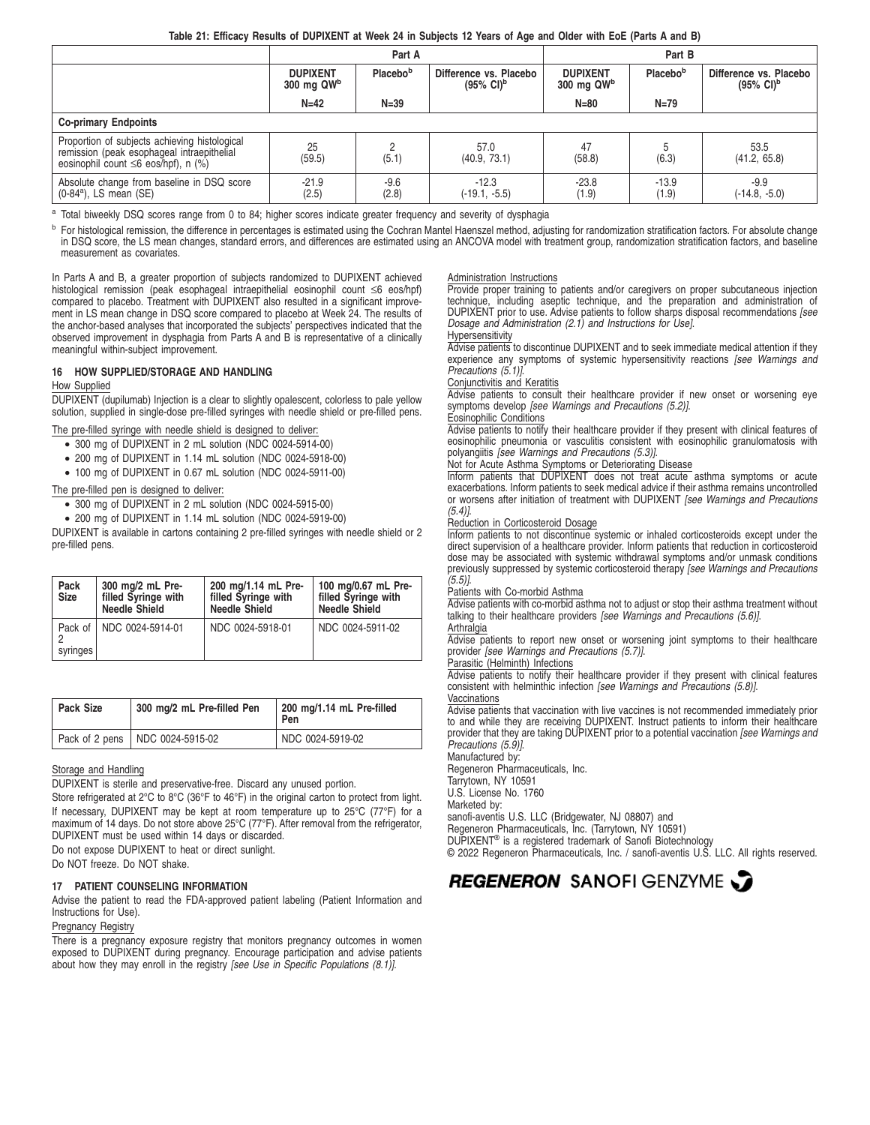## **Table 21: Efficacy Results of DUPIXENT at Week 24 in Subjects 12 Years of Age and Older with EoE (Parts A and B)**

|                                                                                                                                          |                                             | Part A          |                                                          | Part B                            |                  |                                                          |  |
|------------------------------------------------------------------------------------------------------------------------------------------|---------------------------------------------|-----------------|----------------------------------------------------------|-----------------------------------|------------------|----------------------------------------------------------|--|
|                                                                                                                                          | Placebob<br><b>DUPIXENT</b><br>300 mg $QWb$ |                 | Difference vs. Placebo<br>$(95\% \text{ Cl})^{\text{b}}$ | <b>DUPIXENT</b><br>$300$ mg $QWb$ | Placebob         | Difference vs. Placebo<br>$(95\% \text{ Cl})^{\text{b}}$ |  |
|                                                                                                                                          | $N=42$                                      | $N = 39$        |                                                          | $N=80$                            | $N=79$           |                                                          |  |
| <b>Co-primary Endpoints</b>                                                                                                              |                                             |                 |                                                          |                                   |                  |                                                          |  |
| Proportion of subjects achieving histological<br>remission (peak esophageal intraepithelial<br>eosinophil count $\leq 6$ eos/hpf), n (%) | 25<br>(59.5)                                | (5.1)           | 57.0<br>(40.9, 73.1)                                     | 47<br>(58.8)                      | (6.3)            | 53.5<br>(41.2, 65.8)                                     |  |
| Absolute change from baseline in DSQ score<br>$(0-84^a)$ , LS mean $(SE)$                                                                | $-21.9$<br>(2.5)                            | $-9.6$<br>(2.8) | $-12.3$<br>$(-19.1, -5.5)$                               | $-23.8$<br>(1.9)                  | $-13.9$<br>(1.9) | $-9.9$<br>$(-14.8, -5.0)$                                |  |

<sup>a</sup> Total biweekly DSQ scores range from 0 to 84; higher scores indicate greater frequency and severity of dysphagia

<sup>b</sup> For histological remission, the difference in percentages is estimated using the Cochran Mantel Haenszel method, adjusting for randomization stratification factors. For absolute change in DSQ score, the LS mean changes, standard errors, and differences are estimated using an ANCOVA model with treatment group, randomization stratification factors, and baseline measurement as covariates.

In Parts A and B, a greater proportion of subjects randomized to DUPIXENT achieved histological remission (peak esophageal intraepithelial eosinophil count ≤6 eos/hpf) compared to placebo. Treatment with DUPIXENT also resulted in a significant improvement in LS mean change in DSQ score compared to placebo at Week 24. The results of the anchor-based analyses that incorporated the subjects' perspectives indicated that the observed improvement in dysphagia from Parts A and B is representative of a clinically meaningful within-subject improvement.

# **16 HOW SUPPLIED/STORAGE AND HANDLING**

## How Supplied

DUPIXENT (dupilumab) Injection is a clear to slightly opalescent, colorless to pale yellow solution, supplied in single-dose pre-filled syringes with needle shield or pre-filled pens.

The pre-filled syringe with needle shield is designed to deliver:

- 300 mg of DUPIXENT in 2 mL solution (NDC 0024-5914-00)
- 200 mg of DUPIXENT in 1.14 mL solution (NDC 0024-5918-00)
- 100 mg of DUPIXENT in 0.67 mL solution (NDC 0024-5911-00)

## The pre-filled pen is designed to deliver:

- 300 mg of DUPIXENT in 2 mL solution (NDC 0024-5915-00)
- 200 mg of DUPIXENT in 1.14 mL solution (NDC 0024-5919-00)

DUPIXENT is available in cartons containing 2 pre-filled syringes with needle shield or 2 pre-filled pens.

| Pack<br><b>Size</b> | 300 mg/2 mL Pre-<br>filled Syringe with<br><b>Needle Shield</b> | 200 mg/1.14 mL Pre-<br>filled Syringe with<br><b>Needle Shield</b> | 100 mg/0.67 mL Pre-<br>filled Syringe with<br><b>Needle Shield</b> |
|---------------------|-----------------------------------------------------------------|--------------------------------------------------------------------|--------------------------------------------------------------------|
| syringes            | Pack of   NDC 0024-5914-01                                      | NDC 0024-5918-01                                                   | NDC 0024-5911-02                                                   |

| <b>Pack Size</b> | 300 mg/2 mL Pre-filled Pen        | 200 mg/1.14 mL Pre-filled<br>Pen |
|------------------|-----------------------------------|----------------------------------|
|                  | Pack of 2 pens   NDC 0024-5915-02 | NDC 0024-5919-02                 |

#### Storage and Handling

DUPIXENT is sterile and preservative-free. Discard any unused portion.

Store refrigerated at 2°C to 8°C (36°F to 46°F) in the original carton to protect from light. If necessary, DUPIXENT may be kept at room temperature up to 25°C (77°F) for a maximum of 14 days. Do not store above 25°C (77°F). After removal from the refrigerator, DUPIXENT must be used within 14 days or discarded.

Do not expose DUPIXENT to heat or direct sunlight.

Do NOT freeze. Do NOT shake.

#### **17 PATIENT COUNSELING INFORMATION**

Advise the patient to read the FDA-approved patient labeling (Patient Information and Instructions for Use).

## **Pregnancy Registry**

There is a pregnancy exposure registry that monitors pregnancy outcomes in women exposed to DUPIXENT during pregnancy. Encourage participation and advise patients about how they may enroll in the registry [see Use in Specific Populations (8.1)].

#### Administration Instructions

Provide proper training to patients and/or caregivers on proper subcutaneous injection technique, including aseptic technique, and the preparation and administration of DUPIXENT prior to use. Advise patients to follow sharps disposal recommendations [see Dosage and Administration (2.1) and Instructions for Use].

Hypersensitivity

Advise patients to discontinue DUPIXENT and to seek immediate medical attention if they experience any symptoms of systemic hypersensitivity reactions [see Warnings and Precautions (5.1)]

## Conjunctivitis and Keratitis

Advise patients to consult their healthcare provider if new onset or worsening eye symptoms develop [see Warnings and Precautions (5.2)].

#### Eosinophilic Conditions

Advise patients to notify their healthcare provider if they present with clinical features of eosinophilic pneumonia or vasculitis consistent with eosinophilic granulomatosis with polyangiitis [see Warnings and Precautions (5.3)].

#### Not for Acute Asthma Symptoms or Deteriorating Disease

Inform patients that DUPIXENT does not treat acute asthma symptoms or acute exacerbations. Inform patients to seek medical advice if their asthma remains uncontrolled or worsens after initiation of treatment with DUPIXENT [see Warnings and Precautions  $(5.4)$ ].

## Reduction in Corticosteroid Dosage

Inform patients to not discontinue systemic or inhaled corticosteroids except under the direct supervision of a healthcare provider. Inform patients that reduction in corticosteroid dose may be associated with systemic withdrawal symptoms and/or unmask conditions previously suppressed by systemic corticosteroid therapy [see Warnings and Precautions  $(5.5)$ ].

Patients with Co-morbid Asthma

Advise patients with co-morbid asthma not to adjust or stop their asthma treatment without talking to their healthcare providers [see Warnings and Precautions (5.6)].

**Arthralgia** 

Advise patients to report new onset or worsening joint symptoms to their healthcare provider [see Warnings and Precautions (5.7)].

## Parasitic (Helminth) Infections

Advise patients to notify their healthcare provider if they present with clinical features consistent with helminthic infection [see Warnings and Precautions (5.8)].

Vaccinations

Advise patients that vaccination with live vaccines is not recommended immediately prior to and while they are receiving DUPIXENT. Instruct patients to inform their healthcare<br>provider that they are taking DUPIXENT prior to a potential vaccination *[see Warnings and* Precautions (5.9)].

Manufactured by:

Regeneron Pharmaceuticals, Inc. Tarrytown, NY 10591

U.S. License No. 1760

Marketed by:

sanofi-aventis U.S. LLC (Bridgewater, NJ 08807) and

Regeneron Pharmaceuticals, Inc. (Tarrytown, NY 10591)

DUPIXENT® is a registered trademark of Sanofi Biotechnology

© 2022 Regeneron Pharmaceuticals, Inc. / sanofi-aventis U.S. LLC. All rights reserved.

# REGENERON SANOFIGENZYME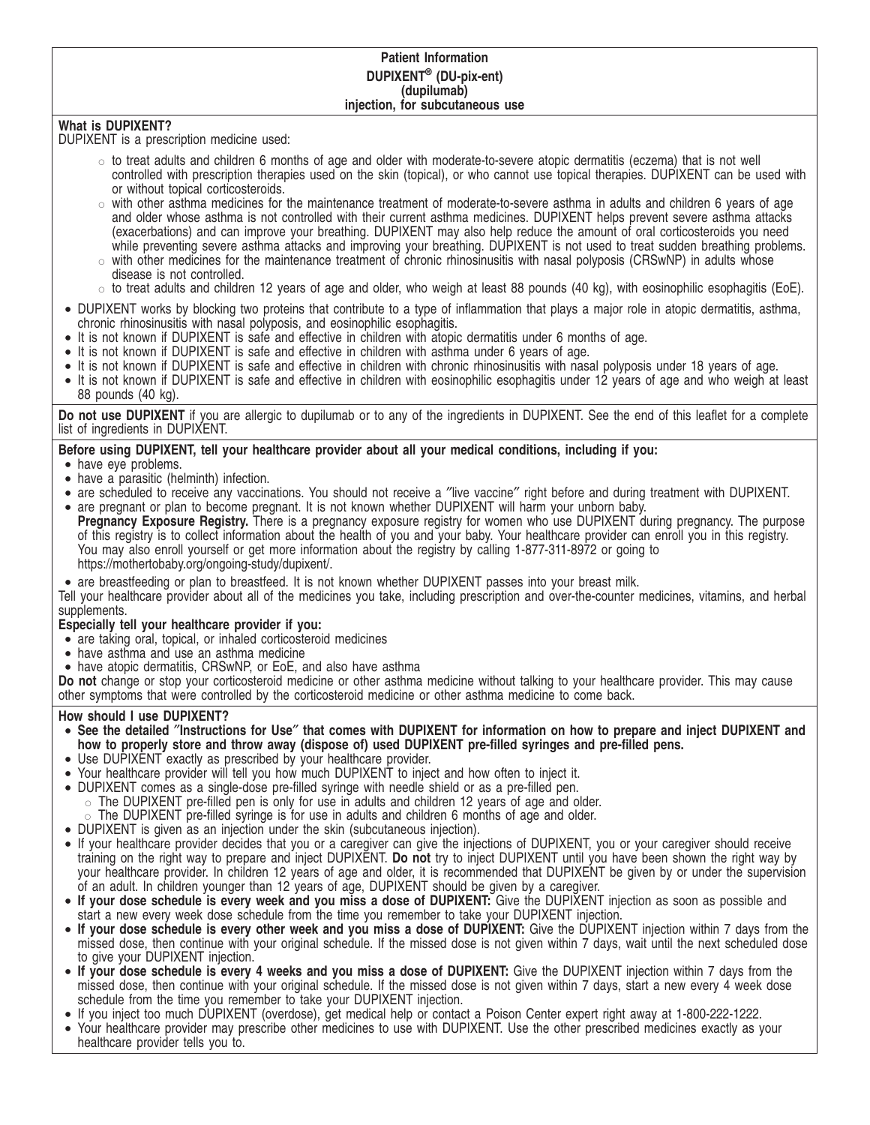# **Patient Information DUPIXENT® (DU-pix-ent) (dupilumab) injection, for subcutaneous use**

# **What is DUPIXENT?**

DUPIXENT is a prescription medicine used:

- $\circ$  to treat adults and children 6 months of age and older with moderate-to-severe atopic dermatitis (eczema) that is not well controlled with prescription therapies used on the skin (topical), or who cannot use topical therapies. DUPIXENT can be used with or without topical corticosteroids.
- $\circ$  with other asthma medicines for the maintenance treatment of moderate-to-severe asthma in adults and children 6 years of age and older whose asthma is not controlled with their current asthma medicines. DUPIXENT helps prevent severe asthma attacks (exacerbations) and can improve your breathing. DUPIXENT may also help reduce the amount of oral corticosteroids you need while preventing severe asthma attacks and improving your breathing. DUPIXENT is not used to treat sudden breathing problems.
- $\circ$  with other medicines for the maintenance treatment of chronic rhinosinusitis with nasal polyposis (CRSwNP) in adults whose disease is not controlled.
- $\circ$  to treat adults and children 12 years of age and older, who weigh at least 88 pounds (40 kg), with eosinophilic esophagitis (EoE).
- DUPIXENT works by blocking two proteins that contribute to a type of inflammation that plays a major role in atopic dermatitis, asthma, chronic rhinosinusitis with nasal polyposis, and eosinophilic esophagitis.
- It is not known if DUPIXENT is safe and effective in children with atopic dermatitis under 6 months of age.
- It is not known if DUPIXENT is safe and effective in children with asthma under 6 years of age.
- It is not known if DUPIXENT is safe and effective in children with chronic rhinosinusitis with nasal polyposis under 18 years of age.
- It is not known if DUPIXENT is safe and effective in children with eosinophilic esophagitis under 12 years of age and who weigh at least 88 pounds (40 kg).

**Do not use DUPIXENT** if you are allergic to dupilumab or to any of the ingredients in DUPIXENT. See the end of this leaflet for a complete list of ingredients in DUPIXENT.

# **Before using DUPIXENT, tell your healthcare provider about all your medical conditions, including if you:**

- have eye problems.
- have a parasitic (helminth) infection.
- are scheduled to receive any vaccinations. You should not receive a ″live vaccine″ right before and during treatment with DUPIXENT. • are pregnant or plan to become pregnant. It is not known whether DUPIXENT will harm your unborn baby.
- Pregnancy Exposure Registry. There is a pregnancy exposure registry for women who use DUPIXENT during pregnancy. The purpose of this registry is to collect information about the health of you and your baby. Your healthcare provider can enroll you in this registry. You may also enroll yourself or get more information about the registry by calling 1-877-311-8972 or going to https://mothertobaby.org/ongoing-study/dupixent/.
- are breastfeeding or plan to breastfeed. It is not known whether DUPIXENT passes into your breast milk.

Tell your healthcare provider about all of the medicines you take, including prescription and over-the-counter medicines, vitamins, and herbal supplements.

# **Especially tell your healthcare provider if you:**

- are taking oral, topical, or inhaled corticosteroid medicines
- have asthma and use an asthma medicine
- have atopic dermatitis, CRSwNP, or EoE, and also have asthma

**Do not** change or stop your corticosteroid medicine or other asthma medicine without talking to your healthcare provider. This may cause other symptoms that were controlled by the corticosteroid medicine or other asthma medicine to come back.

# **How should I use DUPIXENT?**

- **See the detailed** ″**Instructions for Use**″ **that comes with DUPIXENT for information on how to prepare and inject DUPIXENT and how to properly store and throw away (dispose of) used DUPIXENT pre-filled syringes and pre-filled pens.**
- Use DUPIXENT exactly as prescribed by your healthcare provider.
- Your healthcare provider will tell you how much DUPIXENT to inject and how often to inject it.
- DUPIXENT comes as a single-dose pre-filled syringe with needle shield or as a pre-filled pen.
	- $\circ$  The DUPIXENT pre-filled pen is only for use in adults and children 12 years of age and older.
	- The DUPIXENT pre-filled syringe is for use in adults and children 6 months of age and older.
- DUPIXENT is given as an injection under the skin (subcutaneous injection).
- If your healthcare provider decides that you or a caregiver can give the injections of DUPIXENT, you or your caregiver should receive training on the right way to prepare and inject DUPIXENT. **Do not** try to inject DUPIXENT until you have been shown the right way by your healthcare provider. In children 12 years of age and older, it is recommended that DUPIXENT be given by or under the supervision of an adult. In children younger than 12 years of age, DUPIXENT should be given by a caregiver.
- **If your dose schedule is every week and you miss a dose of DUPIXENT:** Give the DUPIXENT injection as soon as possible and start a new every week dose schedule from the time you remember to take your DUPIXENT injection.
- **If your dose schedule is every other week and you miss a dose of DUPIXENT:** Give the DUPIXENT injection within 7 days from the missed dose, then continue with your original schedule. If the missed dose is not given within 7 days, wait until the next scheduled dose to give your DUPIXENT injection.
- **If your dose schedule is every 4 weeks and you miss a dose of DUPIXENT:** Give the DUPIXENT injection within 7 days from the missed dose, then continue with your original schedule. If the missed dose is not given within 7 days, start a new every 4 week dose schedule from the time you remember to take your DUPIXENT injection.
- If you inject too much DUPIXENT (overdose), get medical help or contact a Poison Center expert right away at 1-800-222-1222.
- Your healthcare provider may prescribe other medicines to use with DUPIXENT. Use the other prescribed medicines exactly as your healthcare provider tells you to.